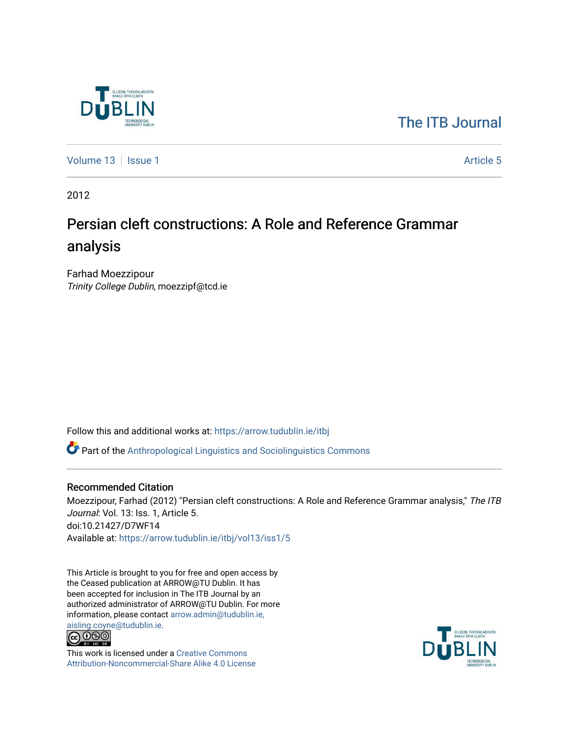

# [The ITB Journal](https://arrow.tudublin.ie/itbj)

[Volume 13](https://arrow.tudublin.ie/itbj/vol13) | [Issue 1](https://arrow.tudublin.ie/itbj/vol13/iss1) Article 5

2012

# Persian cleft constructions: A Role and Reference Grammar analysis

Farhad Moezzipour Trinity College Dublin, moezzipf@tcd.ie

Follow this and additional works at: [https://arrow.tudublin.ie/itbj](https://arrow.tudublin.ie/itbj?utm_source=arrow.tudublin.ie%2Fitbj%2Fvol13%2Fiss1%2F5&utm_medium=PDF&utm_campaign=PDFCoverPages) 

Part of the [Anthropological Linguistics and Sociolinguistics Commons](http://network.bepress.com/hgg/discipline/372?utm_source=arrow.tudublin.ie%2Fitbj%2Fvol13%2Fiss1%2F5&utm_medium=PDF&utm_campaign=PDFCoverPages) 

#### Recommended Citation

Moezzipour, Farhad (2012) "Persian cleft constructions: A Role and Reference Grammar analysis," The ITB Journal: Vol. 13: Iss. 1, Article 5. doi:10.21427/D7WF14 Available at: [https://arrow.tudublin.ie/itbj/vol13/iss1/5](https://arrow.tudublin.ie/itbj/vol13/iss1/5?utm_source=arrow.tudublin.ie%2Fitbj%2Fvol13%2Fiss1%2F5&utm_medium=PDF&utm_campaign=PDFCoverPages)

This Article is brought to you for free and open access by the Ceased publication at ARROW@TU Dublin. It has been accepted for inclusion in The ITB Journal by an authorized administrator of ARROW@TU Dublin. For more information, please contact [arrow.admin@tudublin.ie,](mailto:arrow.admin@tudublin.ie,%20aisling.coyne@tudublin.ie) 



This work is licensed under a [Creative Commons](http://creativecommons.org/licenses/by-nc-sa/4.0/) [Attribution-Noncommercial-Share Alike 4.0 License](http://creativecommons.org/licenses/by-nc-sa/4.0/)

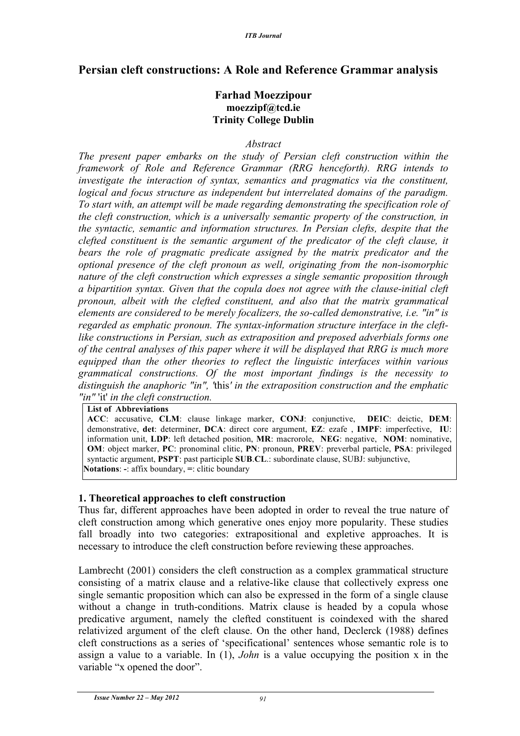# **Persian cleft constructions: A Role and Reference Grammar analysis**

# **Farhad Moezzipour moezzipf@tcd.ie Trinity College Dublin**

#### *Abstract*

*The present paper embarks on the study of Persian cleft construction within the framework of Role and Reference Grammar (RRG henceforth). RRG intends to investigate the interaction of syntax, semantics and pragmatics via the constituent, logical and focus structure as independent but interrelated domains of the paradigm. To start with, an attempt will be made regarding demonstrating the specification role of the cleft construction, which is a universally semantic property of the construction, in the syntactic, semantic and information structures. In Persian clefts, despite that the clefted constituent is the semantic argument of the predicator of the cleft clause, it bears the role of pragmatic predicate assigned by the matrix predicator and the optional presence of the cleft pronoun as well, originating from the non-isomorphic nature of the cleft construction which expresses a single semantic proposition through a bipartition syntax. Given that the copula does not agree with the clause-initial cleft pronoun, albeit with the clefted constituent, and also that the matrix grammatical elements are considered to be merely focalizers, the so-called demonstrative, i.e. "in" is regarded as emphatic pronoun. The syntax-information structure interface in the cleftlike constructions in Persian, such as extraposition and preposed adverbials forms one of the central analyses of this paper where it will be displayed that RRG is much more equipped than the other theories to reflect the linguistic interfaces within various grammatical constructions. Of the most important findings is the necessity to distinguish the anaphoric "in", '*this*' in the extraposition construction and the emphatic "in"* 'it' *in the cleft construction.* 

**List of Abbreviations**

**ACC**: accusative, **CLM**: clause linkage marker, **CONJ**: conjunctive, **DEIC**: deictic, **DEM**: demonstrative, **det**: determiner, **DCA**: direct core argument, **EZ**: ezafe , **IMPF**: imperfective, **IU**: information unit, **LDP**: left detached position, **MR**: macrorole, **NEG**: negative, **NOM**: nominative, **OM**: object marker, **PC**: pronominal clitic, **PN**: pronoun, **PREV**: preverbal particle, **PSA**: privileged syntactic argument, **PSPT**: past participle **SUB**.**CL**.: subordinate clause, SUBJ: subjunctive, **Notations**: **-**: affix boundary, **=**: clitic boundary

#### **1. Theoretical approaches to cleft construction**

Thus far, different approaches have been adopted in order to reveal the true nature of cleft construction among which generative ones enjoy more popularity. These studies fall broadly into two categories: extrapositional and expletive approaches. It is necessary to introduce the cleft construction before reviewing these approaches.

Lambrecht (2001) considers the cleft construction as a complex grammatical structure consisting of a matrix clause and a relative-like clause that collectively express one single semantic proposition which can also be expressed in the form of a single clause without a change in truth-conditions. Matrix clause is headed by a copula whose predicative argument, namely the clefted constituent is coindexed with the shared relativized argument of the cleft clause. On the other hand, Declerck (1988) defines cleft constructions as a series of 'specificational' sentences whose semantic role is to assign a value to a variable. In (1), *John* is a value occupying the position x in the variable "x opened the door".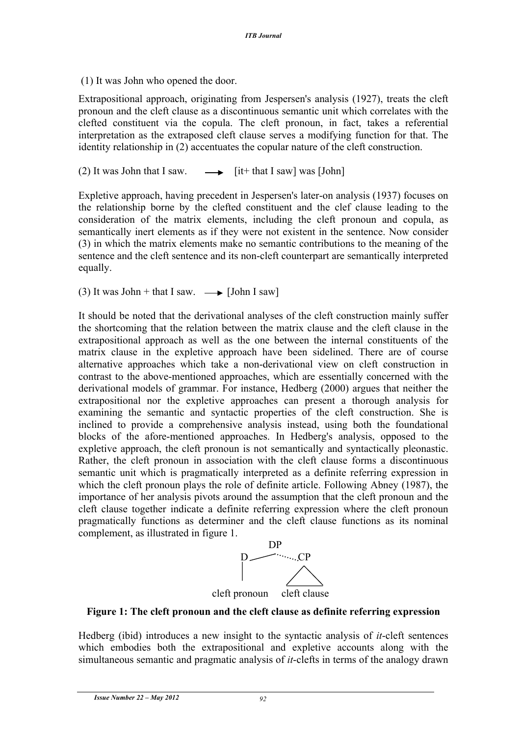(1) It was John who opened the door.

Extrapositional approach, originating from Jespersen's analysis (1927), treats the cleft pronoun and the cleft clause as a discontinuous semantic unit which correlates with the clefted constituent via the copula. The cleft pronoun, in fact, takes a referential interpretation as the extraposed cleft clause serves a modifying function for that. The identity relationship in (2) accentuates the copular nature of the cleft construction.

(2) It was John that I saw.  $\longrightarrow$  [it+ that I saw] was [John]

Expletive approach, having precedent in Jespersen's later-on analysis (1937) focuses on the relationship borne by the clefted constituent and the clef clause leading to the consideration of the matrix elements, including the cleft pronoun and copula, as semantically inert elements as if they were not existent in the sentence. Now consider (3) in which the matrix elements make no semantic contributions to the meaning of the sentence and the cleft sentence and its non-cleft counterpart are semantically interpreted equally.

(3) It was John + that I saw.  $\longrightarrow$  [John I saw]

It should be noted that the derivational analyses of the cleft construction mainly suffer the shortcoming that the relation between the matrix clause and the cleft clause in the extrapositional approach as well as the one between the internal constituents of the matrix clause in the expletive approach have been sidelined. There are of course alternative approaches which take a non-derivational view on cleft construction in contrast to the above-mentioned approaches, which are essentially concerned with the derivational models of grammar. For instance, Hedberg (2000) argues that neither the extrapositional nor the expletive approaches can present a thorough analysis for examining the semantic and syntactic properties of the cleft construction. She is inclined to provide a comprehensive analysis instead, using both the foundational blocks of the afore-mentioned approaches. In Hedberg's analysis, opposed to the expletive approach, the cleft pronoun is not semantically and syntactically pleonastic. Rather, the cleft pronoun in association with the cleft clause forms a discontinuous semantic unit which is pragmatically interpreted as a definite referring expression in which the cleft pronoun plays the role of definite article. Following Abney (1987), the importance of her analysis pivots around the assumption that the cleft pronoun and the cleft clause together indicate a definite referring expression where the cleft pronoun pragmatically functions as determiner and the cleft clause functions as its nominal complement, as illustrated in figure 1.



## **Figure 1: The cleft pronoun and the cleft clause as definite referring expression**

Hedberg (ibid) introduces a new insight to the syntactic analysis of *it*-cleft sentences which embodies both the extrapositional and expletive accounts along with the simultaneous semantic and pragmatic analysis of *it*-clefts in terms of the analogy drawn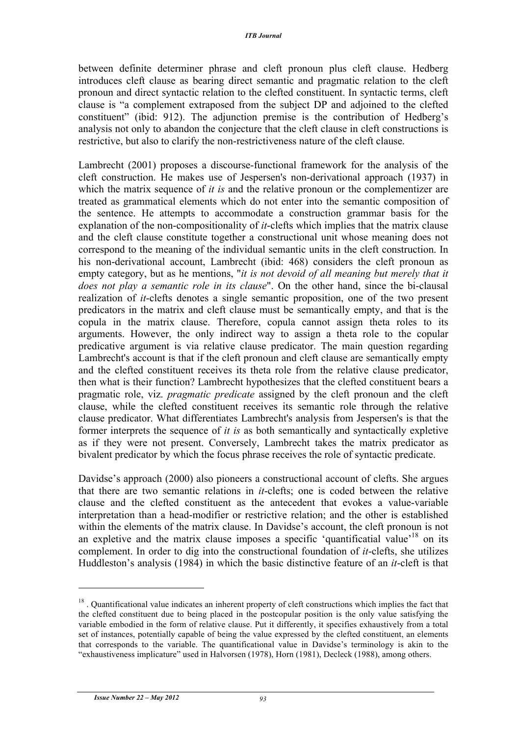between definite determiner phrase and cleft pronoun plus cleft clause. Hedberg introduces cleft clause as bearing direct semantic and pragmatic relation to the cleft pronoun and direct syntactic relation to the clefted constituent. In syntactic terms, cleft clause is "a complement extraposed from the subject DP and adjoined to the clefted constituent" (ibid: 912). The adjunction premise is the contribution of Hedberg's analysis not only to abandon the conjecture that the cleft clause in cleft constructions is restrictive, but also to clarify the non-restrictiveness nature of the cleft clause.

Lambrecht (2001) proposes a discourse-functional framework for the analysis of the cleft construction. He makes use of Jespersen's non-derivational approach (1937) in which the matrix sequence of *it is* and the relative pronoun or the complementizer are treated as grammatical elements which do not enter into the semantic composition of the sentence. He attempts to accommodate a construction grammar basis for the explanation of the non-compositionality of *it*-clefts which implies that the matrix clause and the cleft clause constitute together a constructional unit whose meaning does not correspond to the meaning of the individual semantic units in the cleft construction. In his non-derivational account, Lambrecht (ibid: 468) considers the cleft pronoun as empty category, but as he mentions, "*it is not devoid of all meaning but merely that it does not play a semantic role in its clause*". On the other hand, since the bi-clausal realization of *it*-clefts denotes a single semantic proposition, one of the two present predicators in the matrix and cleft clause must be semantically empty, and that is the copula in the matrix clause. Therefore, copula cannot assign theta roles to its arguments. However, the only indirect way to assign a theta role to the copular predicative argument is via relative clause predicator. The main question regarding Lambrecht's account is that if the cleft pronoun and cleft clause are semantically empty and the clefted constituent receives its theta role from the relative clause predicator, then what is their function? Lambrecht hypothesizes that the clefted constituent bears a pragmatic role, viz. *pragmatic predicate* assigned by the cleft pronoun and the cleft clause, while the clefted constituent receives its semantic role through the relative clause predicator. What differentiates Lambrecht's analysis from Jespersen's is that the former interprets the sequence of *it is* as both semantically and syntactically expletive as if they were not present. Conversely, Lambrecht takes the matrix predicator as bivalent predicator by which the focus phrase receives the role of syntactic predicate.

Davidse's approach (2000) also pioneers a constructional account of clefts. She argues that there are two semantic relations in *it*-clefts; one is coded between the relative clause and the clefted constituent as the antecedent that evokes a value-variable interpretation than a head-modifier or restrictive relation; and the other is established within the elements of the matrix clause. In Davidse's account, the cleft pronoun is not an expletive and the matrix clause imposes a specific 'quantificatial value'<sup>18</sup> on its complement. In order to dig into the constructional foundation of *it*-clefts, she utilizes Huddleston's analysis (1984) in which the basic distinctive feature of an *it*-cleft is that

<sup>&</sup>lt;sup>18</sup>. Quantificational value indicates an inherent property of cleft constructions which implies the fact that the clefted constituent due to being placed in the postcopular position is the only value satisfying the variable embodied in the form of relative clause. Put it differently, it specifies exhaustively from a total set of instances, potentially capable of being the value expressed by the clefted constituent, an elements that corresponds to the variable. The quantificational value in Davidse's terminology is akin to the "exhaustiveness implicature" used in Halvorsen (1978), Horn (1981), Decleck (1988), among others.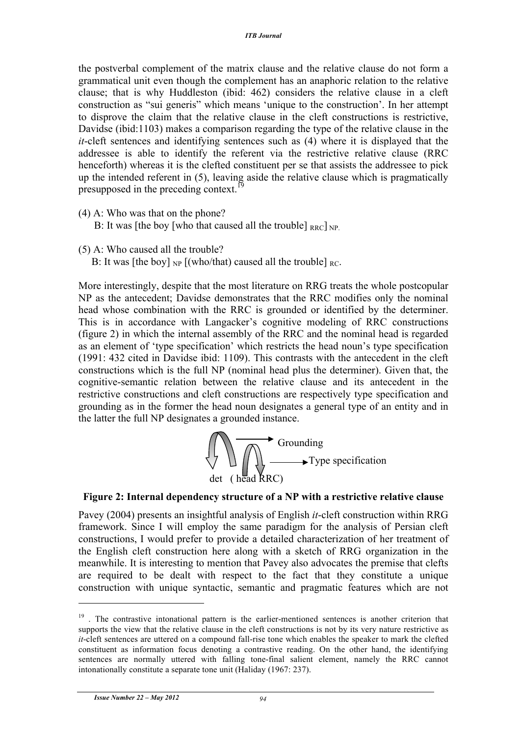the postverbal complement of the matrix clause and the relative clause do not form a grammatical unit even though the complement has an anaphoric relation to the relative clause; that is why Huddleston (ibid: 462) considers the relative clause in a cleft construction as "sui generis" which means 'unique to the construction'. In her attempt to disprove the claim that the relative clause in the cleft constructions is restrictive, Davidse (ibid:1103) makes a comparison regarding the type of the relative clause in the *it*-cleft sentences and identifying sentences such as (4) where it is displayed that the addressee is able to identify the referent via the restrictive relative clause (RRC henceforth) whereas it is the clefted constituent per se that assists the addressee to pick up the intended referent in (5), leaving aside the relative clause which is pragmatically presupposed in the preceding context.<sup>19</sup>

- (4) A: Who was that on the phone?
	- B: It was [the boy [who that caused all the trouble]  $_{\text{RBC}}$ ] NP.
- (5) A: Who caused all the trouble?
	- B: It was [the boy]  $_{NP}$  [(who/that) caused all the trouble]  $_{RC}$ .

More interestingly, despite that the most literature on RRG treats the whole postcopular NP as the antecedent; Davidse demonstrates that the RRC modifies only the nominal head whose combination with the RRC is grounded or identified by the determiner. This is in accordance with Langacker's cognitive modeling of RRC constructions (figure 2) in which the internal assembly of the RRC and the nominal head is regarded as an element of 'type specification' which restricts the head noun's type specification (1991: 432 cited in Davidse ibid: 1109). This contrasts with the antecedent in the cleft constructions which is the full NP (nominal head plus the determiner). Given that, the cognitive-semantic relation between the relative clause and its antecedent in the restrictive constructions and cleft constructions are respectively type specification and grounding as in the former the head noun designates a general type of an entity and in the latter the full NP designates a grounded instance.



#### **Figure 2: Internal dependency structure of a NP with a restrictive relative clause**

Pavey (2004) presents an insightful analysis of English *it*-cleft construction within RRG framework. Since I will employ the same paradigm for the analysis of Persian cleft constructions, I would prefer to provide a detailed characterization of her treatment of the English cleft construction here along with a sketch of RRG organization in the meanwhile. It is interesting to mention that Pavey also advocates the premise that clefts are required to be dealt with respect to the fact that they constitute a unique construction with unique syntactic, semantic and pragmatic features which are not

<sup>&</sup>lt;sup>19</sup>. The contrastive intonational pattern is the earlier-mentioned sentences is another criterion that supports the view that the relative clause in the cleft constructions is not by its very nature restrictive as *it*-cleft sentences are uttered on a compound fall-rise tone which enables the speaker to mark the clefted constituent as information focus denoting a contrastive reading. On the other hand, the identifying sentences are normally uttered with falling tone-final salient element, namely the RRC cannot intonationally constitute a separate tone unit (Haliday (1967: 237).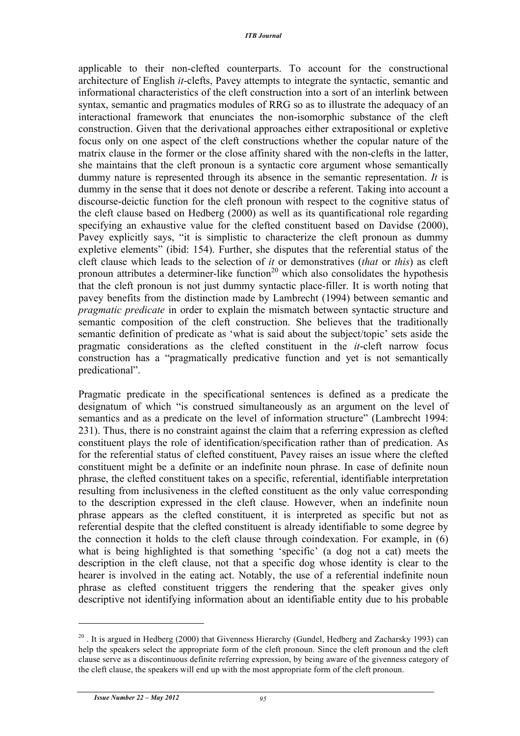applicable to their non-clefted counterparts. To account for the constructional architecture of English *it*-clefts, Pavey attempts to integrate the syntactic, semantic and informational characteristics of the cleft construction into a sort of an interlink between syntax, semantic and pragmatics modules of RRG so as to illustrate the adequacy of an interactional framework that enunciates the non-isomorphic substance of the cleft construction. Given that the derivational approaches either extrapositional or expletive focus only on one aspect of the cleft constructions whether the copular nature of the matrix clause in the former or the close affinity shared with the non-clefts in the latter, she maintains that the cleft pronoun is a syntactic core argument whose semantically dummy nature is represented through its absence in the semantic representation. *It* is dummy in the sense that it does not denote or describe a referent. Taking into account a discourse-deictic function for the cleft pronoun with respect to the cognitive status of the cleft clause based on Hedberg (2000) as well as its quantificational role regarding specifying an exhaustive value for the clefted constituent based on Davidse (2000), Pavey explicitly says, "it is simplistic to characterize the cleft pronoun as dummy expletive elements" (ibid: 154). Further, she disputes that the referential status of the cleft clause which leads to the selection of *it* or demonstratives (*that* or *this*) as cleft pronoun attributes a determiner-like function<sup>20</sup> which also consolidates the hypothesis that the cleft pronoun is not just dummy syntactic place-filler. It is worth noting that pavey benefits from the distinction made by Lambrecht (1994) between semantic and *pragmatic predicate* in order to explain the mismatch between syntactic structure and semantic composition of the cleft construction. She believes that the traditionally semantic definition of predicate as 'what is said about the subject/topic' sets aside the pragmatic considerations as the clefted constituent in the *it*-cleft narrow focus construction has a "pragmatically predicative function and yet is not semantically predicational".

Pragmatic predicate in the specificational sentences is defined as a predicate the designatum of which "is construed simultaneously as an argument on the level of semantics and as a predicate on the level of information structure" (Lambrecht 1994: 231). Thus, there is no constraint against the claim that a referring expression as clefted constituent plays the role of identification/specification rather than of predication. As for the referential status of clefted constituent, Pavey raises an issue where the clefted constituent might be a definite or an indefinite noun phrase. In case of definite noun phrase, the clefted constituent takes on a specific, referential, identifiable interpretation resulting from inclusiveness in the clefted constituent as the only value corresponding to the description expressed in the cleft clause. However, when an indefinite noun phrase appears as the clefted constituent, it is interpreted as specific but not as referential despite that the clefted constituent is already identifiable to some degree by the connection it holds to the cleft clause through coindexation. For example, in (6) what is being highlighted is that something 'specific' (a dog not a cat) meets the description in the cleft clause, not that a specific dog whose identity is clear to the hearer is involved in the eating act. Notably, the use of a referential indefinite noun phrase as clefted constituent triggers the rendering that the speaker gives only descriptive not identifying information about an identifiable entity due to his probable

 $^{20}$ . It is argued in Hedberg (2000) that Givenness Hierarchy (Gundel, Hedberg and Zacharsky 1993) can help the speakers select the appropriate form of the cleft pronoun. Since the cleft pronoun and the cleft clause serve as a discontinuous definite referring expression, by being aware of the givenness category of the cleft clause, the speakers will end up with the most appropriate form of the cleft pronoun.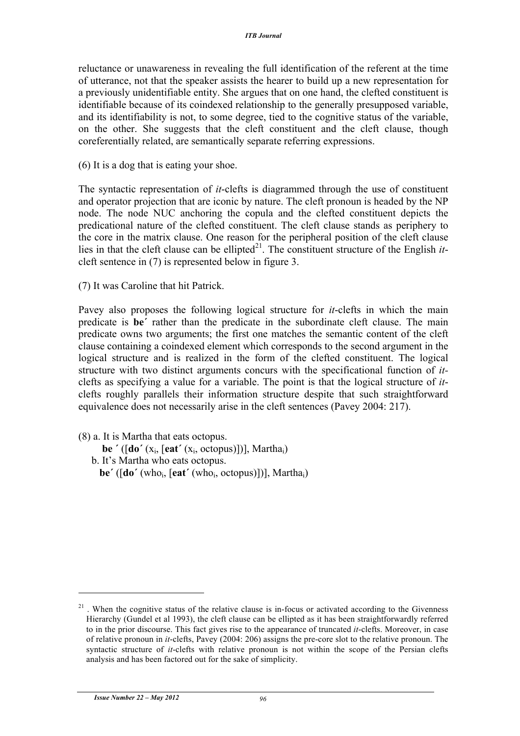reluctance or unawareness in revealing the full identification of the referent at the time of utterance, not that the speaker assists the hearer to build up a new representation for a previously unidentifiable entity. She argues that on one hand, the clefted constituent is identifiable because of its coindexed relationship to the generally presupposed variable, and its identifiability is not, to some degree, tied to the cognitive status of the variable, on the other. She suggests that the cleft constituent and the cleft clause, though coreferentially related, are semantically separate referring expressions.

(6) It is a dog that is eating your shoe.

The syntactic representation of *it*-clefts is diagrammed through the use of constituent and operator projection that are iconic by nature. The cleft pronoun is headed by the NP node. The node NUC anchoring the copula and the clefted constituent depicts the predicational nature of the clefted constituent. The cleft clause stands as periphery to the core in the matrix clause. One reason for the peripheral position of the cleft clause lies in that the cleft clause can be ellipted<sup>21</sup>. The constituent structure of the English  $it$ cleft sentence in (7) is represented below in figure 3.

(7) It was Caroline that hit Patrick.

Pavey also proposes the following logical structure for *it*-clefts in which the main predicate is **be΄** rather than the predicate in the subordinate cleft clause. The main predicate owns two arguments; the first one matches the semantic content of the cleft clause containing a coindexed element which corresponds to the second argument in the logical structure and is realized in the form of the clefted constituent. The logical structure with two distinct arguments concurs with the specificational function of *it*clefts as specifying a value for a variable. The point is that the logical structure of *it*clefts roughly parallels their information structure despite that such straightforward equivalence does not necessarily arise in the cleft sentences (Pavey 2004: 217).

(8) a. It is Martha that eats octopus.

- **be ΄** ([**do΄** (xi, [**eat΄** (xi, octopus)])], Marthai)
- b. It's Martha who eats octopus.
	- **be΄** ([**do΄** (whoi, [**eat΄** (whoi, octopus)])], Marthai)

 $21$ . When the cognitive status of the relative clause is in-focus or activated according to the Givenness Hierarchy (Gundel et al 1993), the cleft clause can be ellipted as it has been straightforwardly referred to in the prior discourse. This fact gives rise to the appearance of truncated *it*-clefts. Moreover, in case of relative pronoun in *it*-clefts, Pavey (2004: 206) assigns the pre-core slot to the relative pronoun. The syntactic structure of *it*-clefts with relative pronoun is not within the scope of the Persian clefts analysis and has been factored out for the sake of simplicity.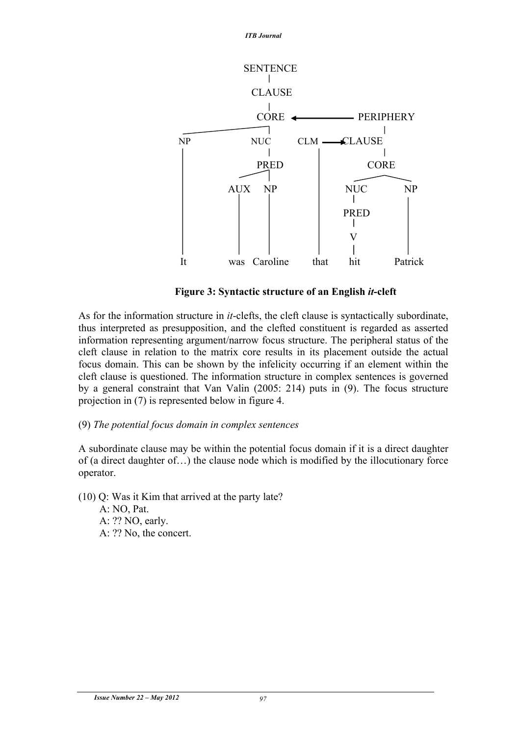

 **Figure 3: Syntactic structure of an English** *it***-cleft**

As for the information structure in *it*-clefts, the cleft clause is syntactically subordinate, thus interpreted as presupposition, and the clefted constituent is regarded as asserted information representing argument/narrow focus structure. The peripheral status of the cleft clause in relation to the matrix core results in its placement outside the actual focus domain. This can be shown by the infelicity occurring if an element within the cleft clause is questioned. The information structure in complex sentences is governed by a general constraint that Van Valin (2005: 214) puts in (9). The focus structure projection in (7) is represented below in figure 4.

## (9) *The potential focus domain in complex sentences*

A subordinate clause may be within the potential focus domain if it is a direct daughter of (a direct daughter of…) the clause node which is modified by the illocutionary force operator.

(10) Q: Was it Kim that arrived at the party late?

 A: NO, Pat. A: ?? NO, early. A: ?? No, the concert.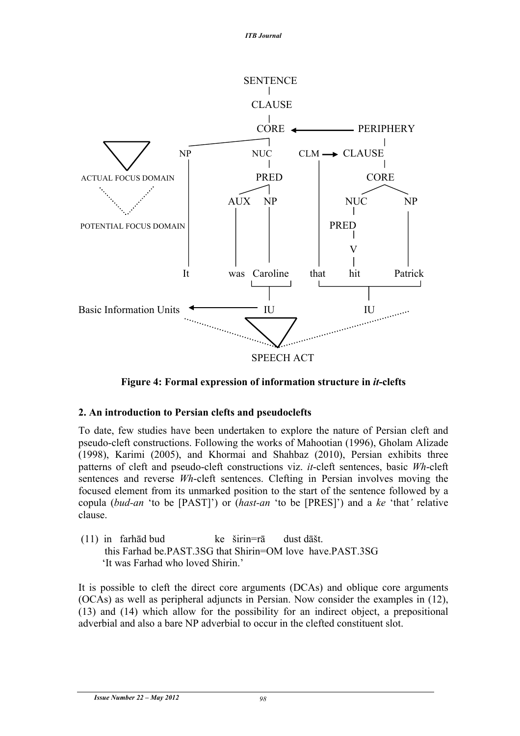

**Figure 4: Formal expression of information structure in** *it***-clefts**

## **2. An introduction to Persian clefts and pseudoclefts**

To date, few studies have been undertaken to explore the nature of Persian cleft and pseudo-cleft constructions. Following the works of Mahootian (1996), Gholam Alizade (1998), Karimi (2005), and Khormai and Shahbaz (2010), Persian exhibits three patterns of cleft and pseudo-cleft constructions viz. *it*-cleft sentences, basic *Wh*-cleft sentences and reverse *Wh*-cleft sentences. Clefting in Persian involves moving the focused element from its unmarked position to the start of the sentence followed by a copula (*bud-an* 'to be [PAST]') or (*hast-an* 'to be [PRES]') and a *ke* 'that*'* relative clause.

(11) in farhād bud ke širin=rā dust dāšt. this Farhad be.PAST.3SG that Shirin=OM love have.PAST.3SG 'It was Farhad who loved Shirin.'

It is possible to cleft the direct core arguments (DCAs) and oblique core arguments (OCAs) as well as peripheral adjuncts in Persian. Now consider the examples in (12), (13) and (14) which allow for the possibility for an indirect object, a prepositional adverbial and also a bare NP adverbial to occur in the clefted constituent slot.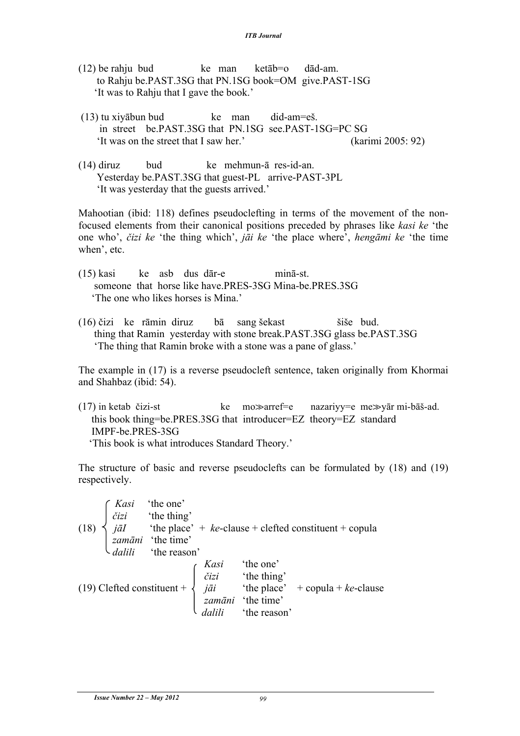- $(12)$  be rahju bud ke man ketāb=o dād-am. to Rahju be.PAST.3SG that PN.1SG book=OM give.PAST-1SG 'It was to Rahju that I gave the book.'
- (13) tu xiyābun bud ke man did-am=eš. in street be.PAST.3SG that PN.1SG see.PAST-1SG=PC SG 'It was on the street that I saw her.' (karimi 2005: 92)
- (14) diruz bud ke mehmun-ā res-id-an. Yesterday be.PAST.3SG that guest-PL arrive-PAST-3PL 'It was yesterday that the guests arrived.'

Mahootian (ibid: 118) defines pseudoclefting in terms of the movement of the nonfocused elements from their canonical positions preceded by phrases like *kasi ke* 'the one who', *čizi ke* 'the thing which', *jāi ke* 'the place where', *hengāmi ke* 'the time when', etc.

- (15) kasi ke asb dus dār-e minā-st. someone that horse like have.PRES-3SG Mina-be.PRES.3SG 'The one who likes horses is Mina.'
- (16) čizi ke rāmin diruz bā sang šekast šiše bud. thing that Ramin yesterday with stone break.PAST.3SG glass be.PAST.3SG 'The thing that Ramin broke with a stone was a pane of glass.'

The example in (17) is a reverse pseudocleft sentence, taken originally from Khormai and Shahbaz (ibid: 54).

(17) in ketab čizi-st ke mo $\gg$ arref=e nazariyy=e me $\gg$ yār mi-bāš-ad. this book thing=be.PRES.3SG that introducer=EZ theory=EZ standard IMPF-be.PRES-3SG 'This book is what introduces Standard Theory.'

The structure of basic and reverse pseudoclefts can be formulated by (18) and (19) respectively.

(18) 
$$
\begin{cases}\nKasi & 'the one' \\
\check{c}izi & 'the thing' \\
j\bar{a}I & 'the place' + ke-clause + clefted constituent + copula  
\nzamāni 'the time'  
\ndalili 'the reason'  
\n(19) Clefted constituent +  
\nJ\bar{a}ii & 'the one'  
\nzamāni 'the place' + copula + ke-clause  
\nzamāni 'the time'  
\ndalili 'the reason'
$$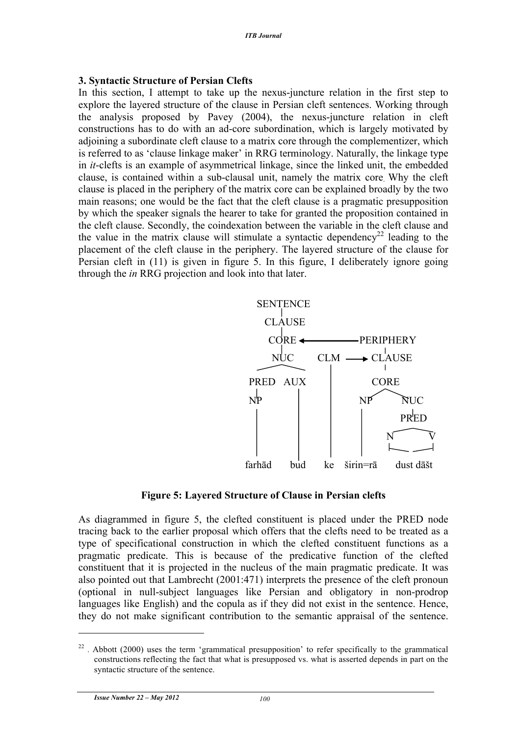#### **3. Syntactic Structure of Persian Clefts**

In this section, I attempt to take up the nexus-juncture relation in the first step to explore the layered structure of the clause in Persian cleft sentences. Working through the analysis proposed by Pavey (2004), the nexus-juncture relation in cleft constructions has to do with an ad-core subordination, which is largely motivated by adjoining a subordinate cleft clause to a matrix core through the complementizer, which is referred to as 'clause linkage maker' in RRG terminology. Naturally, the linkage type in *it*-clefts is an example of asymmetrical linkage, since the linked unit, the embedded clause, is contained within a sub-clausal unit, namely the matrix core. Why the cleft clause is placed in the periphery of the matrix core can be explained broadly by the two main reasons; one would be the fact that the cleft clause is a pragmatic presupposition by which the speaker signals the hearer to take for granted the proposition contained in the cleft clause. Secondly, the coindexation between the variable in the cleft clause and the value in the matrix clause will stimulate a syntactic dependency<sup>22</sup> leading to the placement of the cleft clause in the periphery. The layered structure of the clause for Persian cleft in (11) is given in figure 5. In this figure, I deliberately ignore going through the *in* RRG projection and look into that later.



## **Figure 5: Layered Structure of Clause in Persian clefts**

As diagrammed in figure 5, the clefted constituent is placed under the PRED node tracing back to the earlier proposal which offers that the clefts need to be treated as a type of specificational construction in which the clefted constituent functions as a pragmatic predicate. This is because of the predicative function of the clefted constituent that it is projected in the nucleus of the main pragmatic predicate. It was also pointed out that Lambrecht (2001:471) interprets the presence of the cleft pronoun (optional in null-subject languages like Persian and obligatory in non-prodrop languages like English) and the copula as if they did not exist in the sentence. Hence, they do not make significant contribution to the semantic appraisal of the sentence.

 $22$ . Abbott (2000) uses the term 'grammatical presupposition' to refer specifically to the grammatical constructions reflecting the fact that what is presupposed vs. what is asserted depends in part on the syntactic structure of the sentence.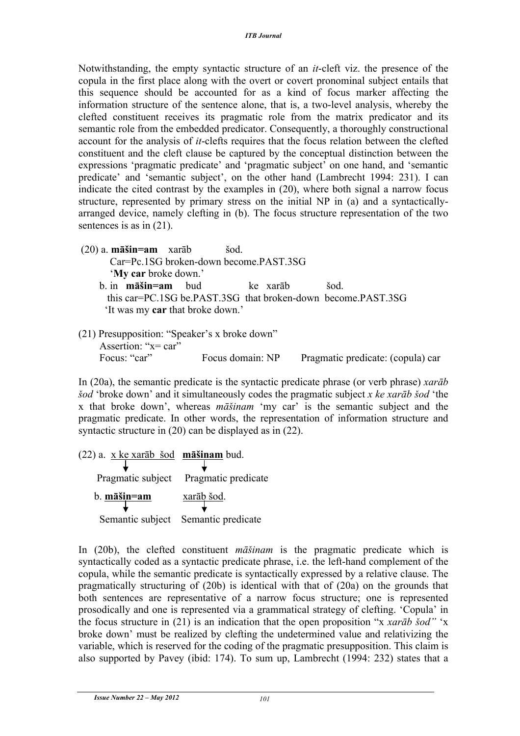Notwithstanding, the empty syntactic structure of an *it*-cleft viz. the presence of the copula in the first place along with the overt or covert pronominal subject entails that this sequence should be accounted for as a kind of focus marker affecting the information structure of the sentence alone, that is, a two-level analysis, whereby the clefted constituent receives its pragmatic role from the matrix predicator and its semantic role from the embedded predicator. Consequently, a thoroughly constructional account for the analysis of *it*-clefts requires that the focus relation between the clefted constituent and the cleft clause be captured by the conceptual distinction between the expressions 'pragmatic predicate' and 'pragmatic subject' on one hand, and 'semantic predicate' and 'semantic subject', on the other hand (Lambrecht 1994: 231). I can indicate the cited contrast by the examples in (20), where both signal a narrow focus structure, represented by primary stress on the initial NP in (a) and a syntacticallyarranged device, namely clefting in (b). The focus structure representation of the two sentences is as in (21).

- (20) a. **māšin=am** xarāb šod. Car=Pc.1SG broken-down become.PAST.3SG '**My car** broke down.' b. in **māšin=am** bud ke xarāb šod. this car=PC.1SG be.PAST.3SG that broken-down become.PAST.3SG 'It was my **car** that broke down.'
- (21) Presupposition: "Speaker's x broke down" Assertion<sup>: "x=</sup> car" Focus: "car" Focus domain: NP Pragmatic predicate: (copula) car

In (20a), the semantic predicate is the syntactic predicate phrase (or verb phrase) *xarāb šod* 'broke down' and it simultaneously codes the pragmatic subject *x ke xarāb šod* 'the x that broke down', whereas *māšinam* 'my car' is the semantic subject and the pragmatic predicate. In other words, the representation of information structure and syntactic structure in (20) can be displayed as in (22).

(22) a. x ke xarāb šod **māšinam** bud. Pragmatic subject Pragmatic predicate b. **māšin=am** xarāb šod. Semantic subject Semantic predicate

In (20b), the clefted constituent *māšinam* is the pragmatic predicate which is syntactically coded as a syntactic predicate phrase, i.e. the left-hand complement of the copula, while the semantic predicate is syntactically expressed by a relative clause. The pragmatically structuring of (20b) is identical with that of (20a) on the grounds that both sentences are representative of a narrow focus structure; one is represented prosodically and one is represented via a grammatical strategy of clefting. 'Copula' in the focus structure in (21) is an indication that the open proposition "x *xarāb šod"* 'x broke down' must be realized by clefting the undetermined value and relativizing the variable, which is reserved for the coding of the pragmatic presupposition. This claim is also supported by Pavey (ibid: 174). To sum up, Lambrecht (1994: 232) states that a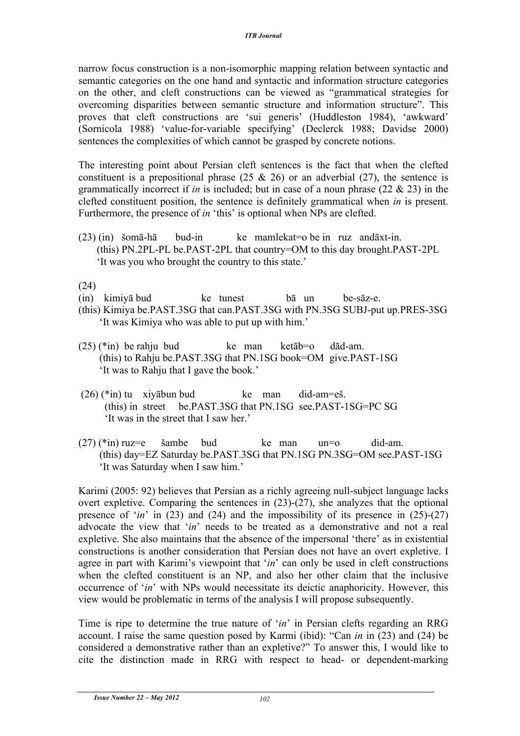narrow focus construction is a non-isomorphic mapping relation between syntactic and semantic categories on the one hand and syntactic and information structure categories on the other, and cleft constructions can be viewed as "grammatical strategies for overcoming disparities between semantic structure and information structure". This proves that cleft constructions are 'sui generis' (Huddleston 1984), 'awkward' (Sornicola 1988) 'value-for-variable specifying' (Declerck 1988; Davidse 2000) sentences the complexities of which cannot be grasped by concrete notions.

The interesting point about Persian cleft sentences is the fact that when the clefted constituent is a prepositional phrase  $(25 \& 26)$  or an adverbial  $(27)$ , the sentence is grammatically incorrect if *in* is included; but in case of a noun phrase (22 & 23) in the clefted constituent position, the sentence is definitely grammatical when *in* is present. Furthermore, the presence of *in* 'this' is optional when NPs are clefted.

 $(23)$  (in) šomā-hā bud-in ke mamlekat=o be in ruz andāxt-in. (this) PN.2PL-PL be.PAST-2PL that country=OM to this day brought.PAST-2PL 'It was you who brought the country to this state.'

(24)

- (in) kimiyā bud ke tunest bā un be-sāz-e.
- (this) Kimiya be.PAST.3SG that can.PAST.3SG with PN.3SG SUBJ-put up.PRES-3SG 'It was Kimiya who was able to put up with him.'
- $(25)$  (\*in) be rahju bud ke man ketāb=o dād-am. (this) to Rahju be.PAST.3SG that PN.1SG book=OM give.PAST-1SG 'It was to Rahju that I gave the book.'
- $(26)$  (\*in) tu xivābun bud ke man did-am=eš. (this) in street be.PAST.3SG that PN.1SG see.PAST-1SG=PC SG 'It was in the street that I saw her.'
- $(27)$  (\*in) ruz=e šambe bud ke man un=o did-am. (this) day=EZ Saturday be.PAST.3SG that PN.1SG PN.3SG=OM see.PAST-1SG 'It was Saturday when I saw him.'

Karimi (2005: 92) believes that Persian as a richly agreeing null-subject language lacks overt expletive. Comparing the sentences in (23)-(27), she analyzes that the optional presence of  $in'$  in (23) and (24) and the impossibility of its presence in (25)-(27) advocate the view that '*in*' needs to be treated as a demonstrative and not a real expletive. She also maintains that the absence of the impersonal 'there' as in existential constructions is another consideration that Persian does not have an overt expletive. I agree in part with Karimi's viewpoint that '*in*' can only be used in cleft constructions when the clefted constituent is an NP, and also her other claim that the inclusive occurrence of '*in*' with NPs would necessitate its deictic anaphoricity. However, this view would be problematic in terms of the analysis I will propose subsequently.

Time is ripe to determine the true nature of '*in*' in Persian clefts regarding an RRG account. I raise the same question posed by Karmi (ibid): "Can *in* in (23) and (24) be considered a demonstrative rather than an expletive?" To answer this, I would like to cite the distinction made in RRG with respect to head- or dependent-marking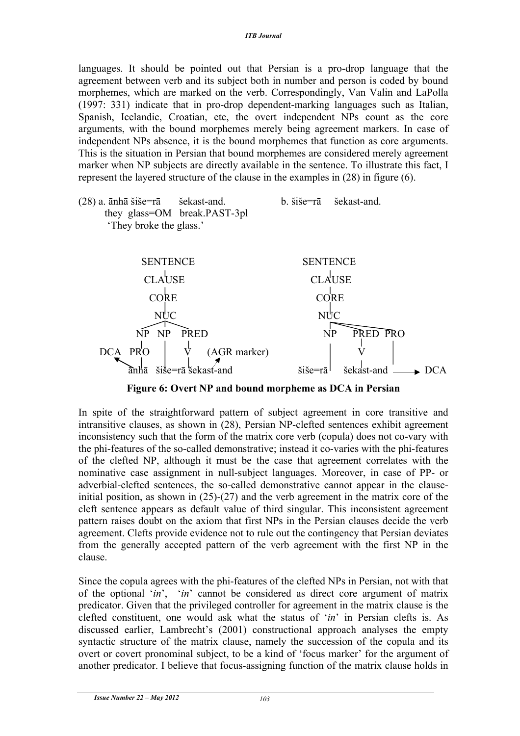languages. It should be pointed out that Persian is a pro-drop language that the agreement between verb and its subject both in number and person is coded by bound morphemes, which are marked on the verb. Correspondingly, Van Valin and LaPolla (1997: 331) indicate that in pro-drop dependent-marking languages such as Italian, Spanish, Icelandic, Croatian, etc, the overt independent NPs count as the core arguments, with the bound morphemes merely being agreement markers. In case of independent NPs absence, it is the bound morphemes that function as core arguments. This is the situation in Persian that bound morphemes are considered merely agreement marker when NP subjects are directly available in the sentence. To illustrate this fact, I represent the layered structure of the clause in the examples in (28) in figure (6).

(28) a. ānhā šiše=rā šekast-and. b. šiše=rā šekast-and. they glass=OM break.PAST-3pl 'They broke the glass.'



**Figure 6: Overt NP and bound morpheme as DCA in Persian**

In spite of the straightforward pattern of subject agreement in core transitive and intransitive clauses, as shown in (28), Persian NP-clefted sentences exhibit agreement inconsistency such that the form of the matrix core verb (copula) does not co-vary with the phi-features of the so-called demonstrative; instead it co-varies with the phi-features of the clefted NP, although it must be the case that agreement correlates with the nominative case assignment in null-subject languages. Moreover, in case of PP- or adverbial-clefted sentences, the so-called demonstrative cannot appear in the clauseinitial position, as shown in (25)-(27) and the verb agreement in the matrix core of the cleft sentence appears as default value of third singular. This inconsistent agreement pattern raises doubt on the axiom that first NPs in the Persian clauses decide the verb agreement. Clefts provide evidence not to rule out the contingency that Persian deviates from the generally accepted pattern of the verb agreement with the first NP in the clause.

Since the copula agrees with the phi-features of the clefted NPs in Persian, not with that of the optional '*in*', '*in*' cannot be considered as direct core argument of matrix predicator. Given that the privileged controller for agreement in the matrix clause is the clefted constituent, one would ask what the status of '*in*' in Persian clefts is. As discussed earlier, Lambrecht's (2001) constructional approach analyses the empty syntactic structure of the matrix clause, namely the succession of the copula and its overt or covert pronominal subject, to be a kind of 'focus marker' for the argument of another predicator. I believe that focus-assigning function of the matrix clause holds in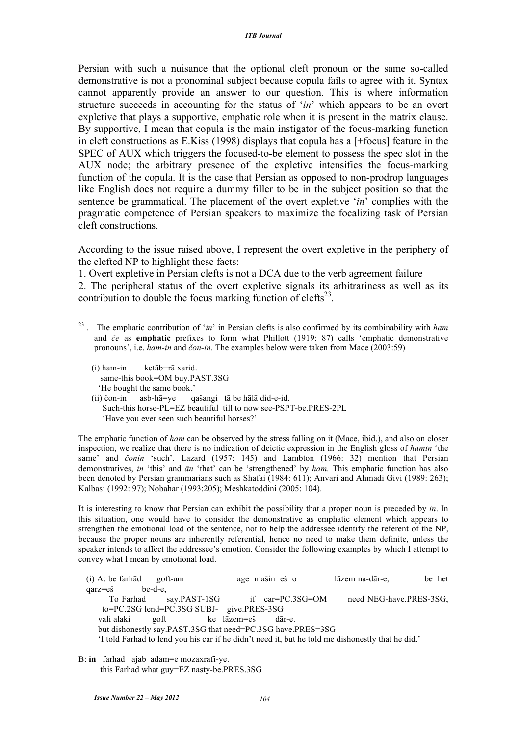Persian with such a nuisance that the optional cleft pronoun or the same so-called demonstrative is not a pronominal subject because copula fails to agree with it. Syntax cannot apparently provide an answer to our question. This is where information structure succeeds in accounting for the status of '*in*' which appears to be an overt expletive that plays a supportive, emphatic role when it is present in the matrix clause. By supportive, I mean that copula is the main instigator of the focus-marking function in cleft constructions as E.Kiss (1998) displays that copula has a [+focus] feature in the SPEC of AUX which triggers the focused-to-be element to possess the spec slot in the AUX node; the arbitrary presence of the expletive intensifies the focus-marking function of the copula. It is the case that Persian as opposed to non-prodrop languages like English does not require a dummy filler to be in the subject position so that the sentence be grammatical. The placement of the overt expletive '*in*' complies with the pragmatic competence of Persian speakers to maximize the focalizing task of Persian cleft constructions.

According to the issue raised above, I represent the overt expletive in the periphery of the clefted NP to highlight these facts:

1. Overt expletive in Persian clefts is not a DCA due to the verb agreement failure

2. The peripheral status of the overt expletive signals its arbitrariness as well as its contribution to double the focus marking function of clefts $^{23}$ .

 (i) ham-in ketāb=rā xarid. same-this book=OM buy.PAST.3SG 'He bought the same book.'

 $\overline{a}$ 

 (ii) čon-in asb-hā=ye qašangi tā be hālā did-e-id. Such-this horse-PL=EZ beautiful till to now see-PSPT-be.PRES-2PL 'Have you ever seen such beautiful horses?'

The emphatic function of *ham* can be observed by the stress falling on it (Mace, ibid.), and also on closer inspection, we realize that there is no indication of deictic expression in the English gloss of *hamin* 'the same' and *čonin* 'such'. Lazard (1957: 145) and Lambton (1966: 32) mention that Persian demonstratives, *in* 'this' and *ān* 'that' can be 'strengthened' by *ham.* This emphatic function has also been denoted by Persian grammarians such as Shafai (1984: 611); Anvari and Ahmadi Givi (1989: 263); Kalbasi (1992: 97); Nobahar (1993:205); Meshkatoddini (2005: 104).

It is interesting to know that Persian can exhibit the possibility that a proper noun is preceded by *in*. In this situation, one would have to consider the demonstrative as emphatic element which appears to strengthen the emotional load of the sentence, not to help the addressee identify the referent of the NP, because the proper nouns are inherently referential, hence no need to make them definite, unless the speaker intends to affect the addressee's emotion. Consider the following examples by which I attempt to convey what I mean by emotional load.

(i) A: be farhād goft-am age mašin=eš=o lāzem na-dār-e, be=het qarz=eš be-d-e, To Farhad say PAST-1SG if car=PC.3SG=OM need NEG-have PRES-3SG to=PC.2SG lend=PC.3SG SUBJ- give.PRES-3SG vali alaki goft ke lāzem=eš dār-e. but dishonestly say.PAST.3SG that need=PC.3SG have.PRES=3SG 'I told Farhad to lend you his car if he didn't need it, but he told me dishonestly that he did.'

B: **in** farhād ajab ādam=e mozaxrafi-ye. this Farhad what guy=EZ nasty-be.PRES.3SG

<sup>23</sup> . The emphatic contribution of '*in*' in Persian clefts is also confirmed by its combinability with *ham* and *če* as **emphatic** prefixes to form what Phillott (1919: 87) calls 'emphatic demonstrative pronouns', i.e. *ham-in* and *čon-in*. The examples below were taken from Mace (2003:59)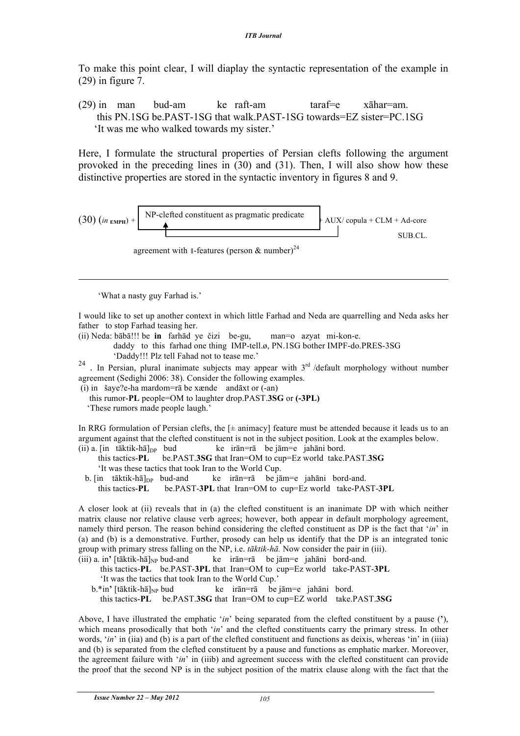To make this point clear, I will diaplay the syntactic representation of the example in (29) in figure 7.

(29) in man bud-am ke raft-am taraf=e xāhar=am. this PN.1SG be.PAST-1SG that walk.PAST-1SG towards=EZ sister=PC.1SG 'It was me who walked towards my sister.'

Here, I formulate the structural properties of Persian clefts following the argument provoked in the preceding lines in (30) and (31). Then, I will also show how these distinctive properties are stored in the syntactic inventory in figures 8 and 9.

(30) 
$$
(in_{\text{EMPH}})
$$
 + NP-clefted constituent as pragmatic predicate  
\n
$$
AUX/copula + CLM + Ad-core\nSUB.CL.\nagreement with II-features (person & number)24
$$

'What a nasty guy Farhad is.'

 $\overline{a}$ 

I would like to set up another context in which little Farhad and Neda are quarrelling and Neda asks her father to stop Farhad teasing her.

(ii) Neda: bābā!!! be **in** farhād ye čizi be-gu, man=o azyat mi-kon-e.

 daddy to this farhad one thing IMP-tell.ø, PN.1SG bother IMPF-do.PRES-3SG 'Daddy!!! Plz tell Fahad not to tease me.'

<sup>24</sup> . In Persian, plural inanimate subjects may appear with 3<sup>rd</sup> /default morphology without number agreement (Sedighi 2006: 38). Consider the following examples.

(i) in šaye?e-ha mardom=rā be xænde andāxt or (-an)

this rumor-**PL** people=OM to laughter drop.PAST.**3SG** or **(-3PL)**

'These rumors made people laugh.'

In RRG formulation of Persian clefts, the  $[\pm \text{ animacy}]$  feature must be attended because it leads us to an argument against that the clefted constituent is not in the subject position. Look at the examples below. (ii) a. [in tāktik-hā] $_{DP}$  bud ke irān=rā be jām=e jahāni bord.

 this tactics-**PL** be.PAST.**3SG** that Iran=OM to cup=Ez world take.PAST.**3SG** 'It was these tactics that took Iran to the World Cup.

b.  $\left[ \text{in} \text{ tāktik-hā} \right]_{\text{DP}}$  bud-and ke irān=rā be jām=e jahāni bord-and. this tactics-**PL** be.PAST-**3PL** that Iran=OM to cup=Ez world take-PAST-**3PL**

A closer look at (ii) reveals that in (a) the clefted constituent is an inanimate DP with which neither matrix clause nor relative clause verb agrees; however, both appear in default morphology agreement, namely third person. The reason behind considering the clefted constituent as DP is the fact that '*in*' in (a) and (b) is a demonstrative. Further, prosody can help us identify that the DP is an integrated tonic group with primary stress falling on the NP, i.e. *tāktik-hā.* Now consider the pair in (iii). (iii) a. in**'** [tāktik-hā]NP bud-and ke irān=rā be jām=e jahāni bord-and.

 this tactics-**PL** be.PAST-**3PL** that Iran=OM to cup=Ez world take-PAST-**3PL** 'It was the tactics that took Iran to the World Cup.'

b.\*in' [tāktik-hā]<sub>NP</sub> bud ke irān=rā be jām=e jahāni bord. this tactics-**PL** be.PAST.**3SG** that Iran=OM to cup=EZ world take.PAST.**3SG**

Above, I have illustrated the emphatic '*in*' being separated from the clefted constituent by a pause (**'**), which means prosodically that both '*in*' and the clefted constituents carry the primary stress. In other words, '*in*' in (iia) and (b) is a part of the clefted constituent and functions as deixis, whereas 'in' in (iiia) and (b) is separated from the clefted constituent by a pause and functions as emphatic marker. Moreover, the agreement failure with '*in*' in (iiib) and agreement success with the clefted constituent can provide the proof that the second NP is in the subject position of the matrix clause along with the fact that the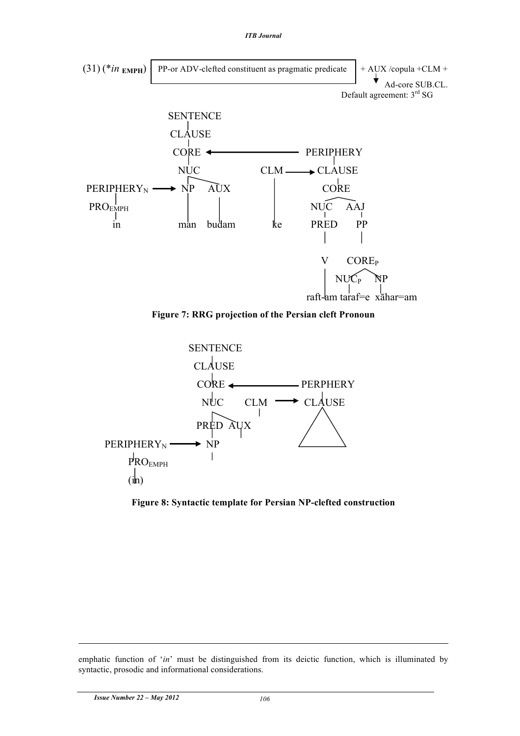





**Figure 8: Syntactic template for Persian NP-clefted construction**

emphatic function of '*in*' must be distinguished from its deictic function, which is illuminated by syntactic, prosodic and informational considerations.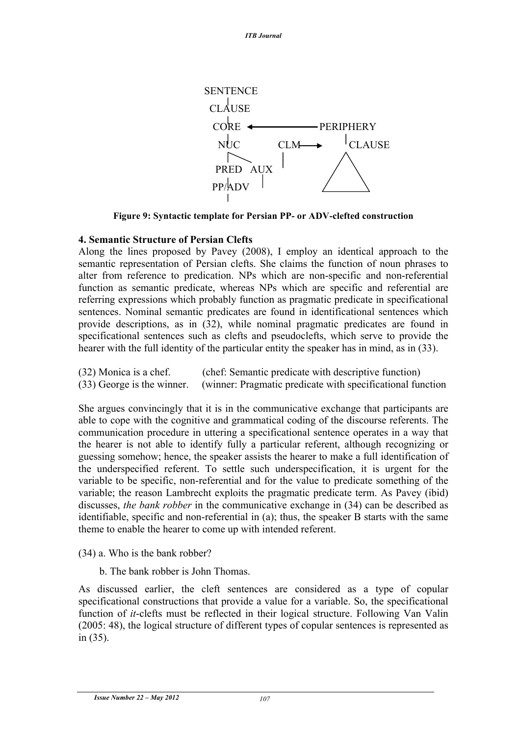

**Figure 9: Syntactic template for Persian PP- or ADV-clefted construction**

# **4. Semantic Structure of Persian Clefts**

Along the lines proposed by Pavey (2008), I employ an identical approach to the semantic representation of Persian clefts. She claims the function of noun phrases to alter from reference to predication. NPs which are non-specific and non-referential function as semantic predicate, whereas NPs which are specific and referential are referring expressions which probably function as pragmatic predicate in specificational sentences. Nominal semantic predicates are found in identificational sentences which provide descriptions, as in (32), while nominal pragmatic predicates are found in specificational sentences such as clefts and pseudoclefts, which serve to provide the hearer with the full identity of the particular entity the speaker has in mind, as in (33).

| (32) Monica is a chef.       | (chef: Semantic predicate with descriptive function)       |
|------------------------------|------------------------------------------------------------|
| $(33)$ George is the winner. | (winner: Pragmatic predicate with specificational function |

She argues convincingly that it is in the communicative exchange that participants are able to cope with the cognitive and grammatical coding of the discourse referents. The communication procedure in uttering a specificational sentence operates in a way that the hearer is not able to identify fully a particular referent, although recognizing or guessing somehow; hence, the speaker assists the hearer to make a full identification of the underspecified referent. To settle such underspecification, it is urgent for the variable to be specific, non-referential and for the value to predicate something of the variable; the reason Lambrecht exploits the pragmatic predicate term. As Pavey (ibid) discusses, *the bank robber* in the communicative exchange in (34) can be described as identifiable, specific and non-referential in (a); thus, the speaker B starts with the same theme to enable the hearer to come up with intended referent.

- (34) a. Who is the bank robber?
	- b. The bank robber is John Thomas.

As discussed earlier, the cleft sentences are considered as a type of copular specificational constructions that provide a value for a variable. So, the specificational function of *it*-clefts must be reflected in their logical structure. Following Van Valin (2005: 48), the logical structure of different types of copular sentences is represented as in (35).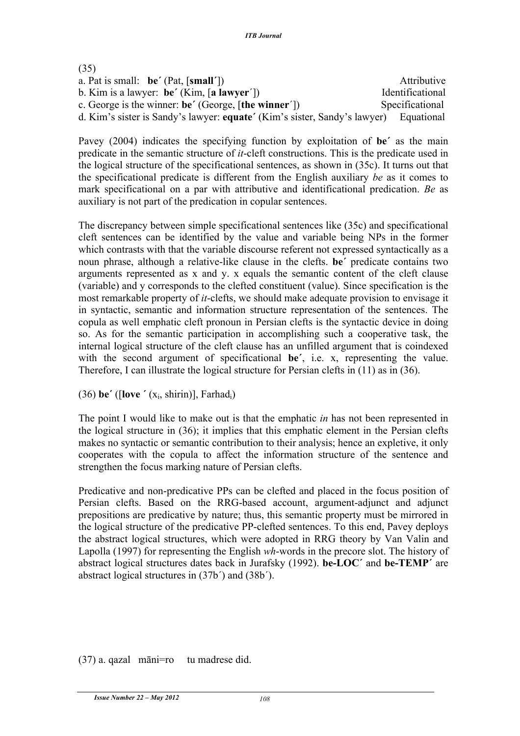| (35)                                                                      |                  |
|---------------------------------------------------------------------------|------------------|
| a. Pat is small: $be' (Pat, [small'])$                                    | Attributive      |
| b. Kim is a lawyer: $be'(Kim, [a lawyer'])$                               | Identificational |
| c. George is the winner: be' (George, [the winner'])                      | Specificational  |
| d. Kim's sister is Sandy's lawyer: equate' (Kim's sister, Sandy's lawyer) | Equational       |

Pavey (2004) indicates the specifying function by exploitation of **be΄** as the main predicate in the semantic structure of *it*-cleft constructions. This is the predicate used in the logical structure of the specificational sentences, as shown in (35c). It turns out that the specificational predicate is different from the English auxiliary *be* as it comes to mark specificational on a par with attributive and identificational predication. *Be* as auxiliary is not part of the predication in copular sentences.

The discrepancy between simple specificational sentences like (35c) and specificational cleft sentences can be identified by the value and variable being NPs in the former which contrasts with that the variable discourse referent not expressed syntactically as a noun phrase, although a relative-like clause in the clefts. **be΄** predicate contains two arguments represented as x and y. x equals the semantic content of the cleft clause (variable) and y corresponds to the clefted constituent (value). Since specification is the most remarkable property of *it*-clefts, we should make adequate provision to envisage it in syntactic, semantic and information structure representation of the sentences. The copula as well emphatic cleft pronoun in Persian clefts is the syntactic device in doing so. As for the semantic participation in accomplishing such a cooperative task, the internal logical structure of the cleft clause has an unfilled argument that is coindexed with the second argument of specificational **be΄**, i.e. x, representing the value. Therefore, I can illustrate the logical structure for Persian clefts in (11) as in (36).

(36) **be΄** ([**love ΄** (xi, shirin)], Farhadi)

The point I would like to make out is that the emphatic *in* has not been represented in the logical structure in (36); it implies that this emphatic element in the Persian clefts makes no syntactic or semantic contribution to their analysis; hence an expletive, it only cooperates with the copula to affect the information structure of the sentence and strengthen the focus marking nature of Persian clefts.

Predicative and non-predicative PPs can be clefted and placed in the focus position of Persian clefts. Based on the RRG-based account, argument-adjunct and adjunct prepositions are predicative by nature; thus, this semantic property must be mirrored in the logical structure of the predicative PP-clefted sentences. To this end, Pavey deploys the abstract logical structures, which were adopted in RRG theory by Van Valin and Lapolla (1997) for representing the English *wh*-words in the precore slot. The history of abstract logical structures dates back in Jurafsky (1992). **be-LOC΄** and **be-TEMP΄** are abstract logical structures in (37b΄) and (38b΄).

(37) a. qazal māni=ro tu madrese did.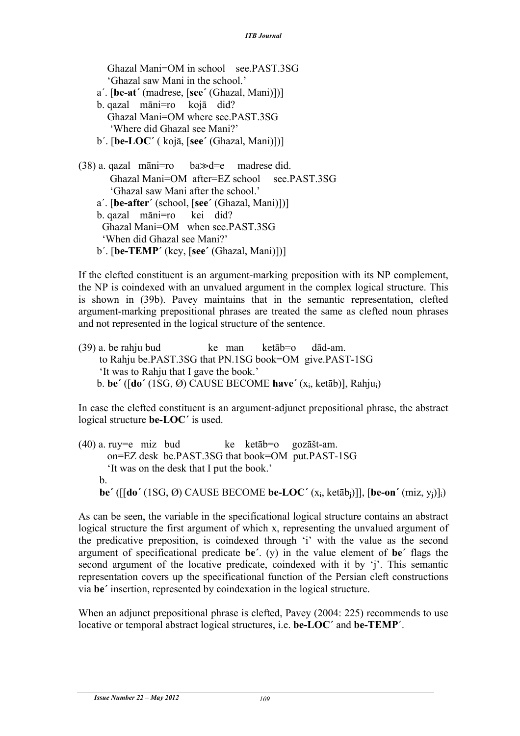Ghazal Mani=OM in school see.PAST.3SG 'Ghazal saw Mani in the school.' a΄. [**be-at΄** (madrese, [**see΄** (Ghazal, Mani)])] b. qazal māni=ro kojā did? Ghazal Mani=OM where see.PAST.3SG 'Where did Ghazal see Mani?' b΄. [**be-LOC΄** ( kojā, [**see΄** (Ghazal, Mani)])]  $(38)$  a. qazal māni=ro ba $\gg$ d=e madrese did. Ghazal Mani=OM after=EZ school see.PAST.3SG 'Ghazal saw Mani after the school.' a΄. [**be-after΄** (school, [**see΄** (Ghazal, Mani)])] b. qazal māni=ro kei did?

 Ghazal Mani=OM when see.PAST.3SG 'When did Ghazal see Mani?' b΄. [**be-TEMP΄** (key, [**see΄** (Ghazal, Mani)])]

If the clefted constituent is an argument-marking preposition with its NP complement, the NP is coindexed with an unvalued argument in the complex logical structure. This is shown in (39b). Pavey maintains that in the semantic representation, clefted argument-marking prepositional phrases are treated the same as clefted noun phrases and not represented in the logical structure of the sentence.

 $(39)$  a. be rahju bud ke man ketāb=o dād-am. to Rahju be.PAST.3SG that PN.1SG book=OM give.PAST-1SG 'It was to Rahju that I gave the book.' b. **be΄** ([**do΄** (1SG, Ø) CAUSE BECOME **have΄** (xi, ketāb)], Rahjui)

In case the clefted constituent is an argument-adjunct prepositional phrase, the abstract logical structure **be-LOC΄** is used.

 $(40)$  a. ruy=e miz bud ke ketāb=o gozāšt-am. on=EZ desk be.PAST.3SG that book=OM put.PAST-1SG 'It was on the desk that I put the book.' b.  **be΄** ([[**do΄** (1SG, Ø) CAUSE BECOME **be-LOC΄** (xi, ketābj)]], [**be-on΄** (miz, yj)]i)

As can be seen, the variable in the specificational logical structure contains an abstract logical structure the first argument of which x, representing the unvalued argument of the predicative preposition, is coindexed through 'i' with the value as the second argument of specificational predicate **be΄**. (y) in the value element of **be΄** flags the second argument of the locative predicate, coindexed with it by 'j'. This semantic representation covers up the specificational function of the Persian cleft constructions via **be΄** insertion, represented by coindexation in the logical structure.

When an adjunct prepositional phrase is clefted, Pavey (2004: 225) recommends to use locative or temporal abstract logical structures, i.e. **be-LOC΄** and **be-TEMP**΄.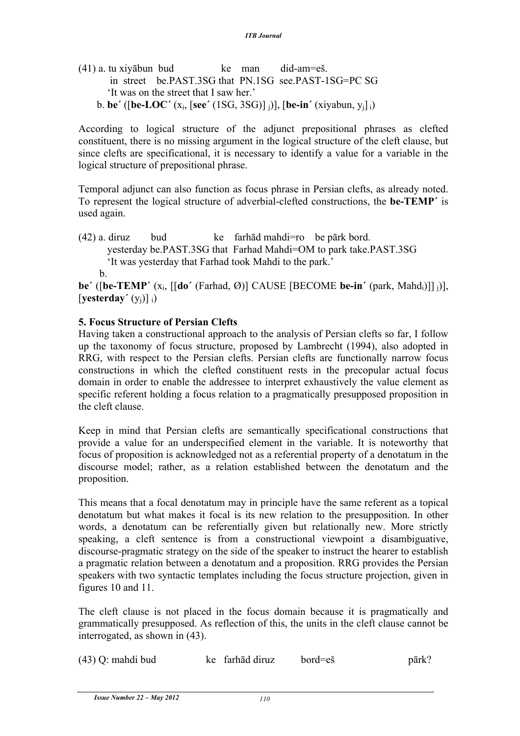$(41)$  a. tu xivābun bud ke man did-am=eš. in street be.PAST.3SG that PN.1SG see.PAST-1SG=PC SG 'It was on the street that I saw her.' b. **be΄** ([**be-LOC΄** (xi, [**see΄** (1SG, 3SG)] j)], [**be-in΄** (xiyabun, yj] i)

According to logical structure of the adjunct prepositional phrases as clefted constituent, there is no missing argument in the logical structure of the cleft clause, but since clefts are specificational, it is necessary to identify a value for a variable in the logical structure of prepositional phrase.

Temporal adjunct can also function as focus phrase in Persian clefts, as already noted. To represent the logical structure of adverbial-clefted constructions, the **be-TEMP΄** is used again.

(42) a. diruz bud ke farhād mahdi=ro be pārk bord. yesterday be.PAST.3SG that Farhad Mahdi=OM to park take.PAST.3SG 'It was yesterday that Farhad took Mahdi to the park.' b.

**be΄** ([**be-TEMP΄** (xi, [[**do΄** (Farhad, Ø)] CAUSE [BECOME **be-in΄** (park, Mahdi)]] j)], [**yesterday΄** (yj)] i)

# **5. Focus Structure of Persian Clefts**

Having taken a constructional approach to the analysis of Persian clefts so far, I follow up the taxonomy of focus structure, proposed by Lambrecht (1994), also adopted in RRG, with respect to the Persian clefts. Persian clefts are functionally narrow focus constructions in which the clefted constituent rests in the precopular actual focus domain in order to enable the addressee to interpret exhaustively the value element as specific referent holding a focus relation to a pragmatically presupposed proposition in the cleft clause.

Keep in mind that Persian clefts are semantically specificational constructions that provide a value for an underspecified element in the variable. It is noteworthy that focus of proposition is acknowledged not as a referential property of a denotatum in the discourse model; rather, as a relation established between the denotatum and the proposition.

This means that a focal denotatum may in principle have the same referent as a topical denotatum but what makes it focal is its new relation to the presupposition. In other words, a denotatum can be referentially given but relationally new. More strictly speaking, a cleft sentence is from a constructional viewpoint a disambiguative, discourse-pragmatic strategy on the side of the speaker to instruct the hearer to establish a pragmatic relation between a denotatum and a proposition. RRG provides the Persian speakers with two syntactic templates including the focus structure projection, given in figures 10 and 11.

The cleft clause is not placed in the focus domain because it is pragmatically and grammatically presupposed. As reflection of this, the units in the cleft clause cannot be interrogated, as shown in (43).

| $(43)$ Q: mahdi bud | ke farhād diruz | bord=eš | $\bar{\text{park}}?$ |
|---------------------|-----------------|---------|----------------------|
|---------------------|-----------------|---------|----------------------|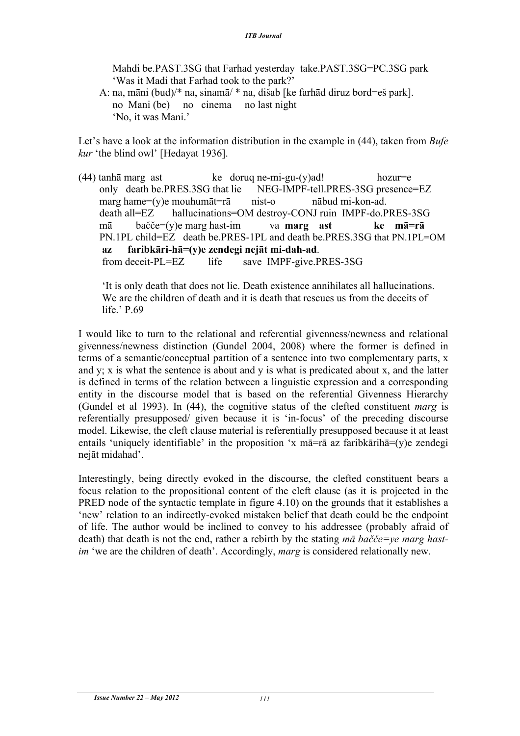Mahdi be.PAST.3SG that Farhad yesterday take.PAST.3SG=PC.3SG park 'Was it Madi that Farhad took to the park?'

 A: na, māni (bud)/\* na, sinamā/ \* na, dišab [ke farhād diruz bord=eš park]. no Mani (be) no cinema no last night 'No, it was Mani.'

Let's have a look at the information distribution in the example in (44), taken from *Bufe kur* 'the blind owl' [Hedayat 1936].

(44) tanhā marg ast  $ke$  dorug ne-mi-gu-(y)ad! hozur=e only death be.PRES.3SG that lie NEG-IMPF-tell.PRES-3SG presence=EZ marg hame=(y)e mouhumāt=rā nist-o nābud mi-kon-ad. death all=EZ hallucinations=OM destroy-CONJ ruin IMPF-do.PRES-3SG mā bačče=(y)e marg hast-im va **marg ast ke mā=rā** PN.1PL child=EZ death be.PRES-1PL and death be.PRES.3SG that PN.1PL=OM **az faribkāri-hā=(y)e zendegi nejāt mi-dah-ad**. from deceit-PL=EZ life save IMPF-give.PRES-3SG

 'It is only death that does not lie. Death existence annihilates all hallucinations. We are the children of death and it is death that rescues us from the deceits of life.' P.69

I would like to turn to the relational and referential givenness/newness and relational givenness/newness distinction (Gundel 2004, 2008) where the former is defined in terms of a semantic/conceptual partition of a sentence into two complementary parts, x and y; x is what the sentence is about and y is what is predicated about x, and the latter is defined in terms of the relation between a linguistic expression and a corresponding entity in the discourse model that is based on the referential Givenness Hierarchy (Gundel et al 1993). In (44), the cognitive status of the clefted constituent *marg* is referentially presupposed/ given because it is 'in-focus' of the preceding discourse model. Likewise, the cleft clause material is referentially presupposed because it at least entails 'uniquely identifiable' in the proposition 'x mā=rā az faribkārihā=(y)e zendegi nejāt midahad'.

Interestingly, being directly evoked in the discourse, the clefted constituent bears a focus relation to the propositional content of the cleft clause (as it is projected in the PRED node of the syntactic template in figure 4.10) on the grounds that it establishes a 'new' relation to an indirectly-evoked mistaken belief that death could be the endpoint of life. The author would be inclined to convey to his addressee (probably afraid of death) that death is not the end, rather a rebirth by the stating *mā bačče=ye marg hastim* 'we are the children of death'. Accordingly, *marg* is considered relationally new.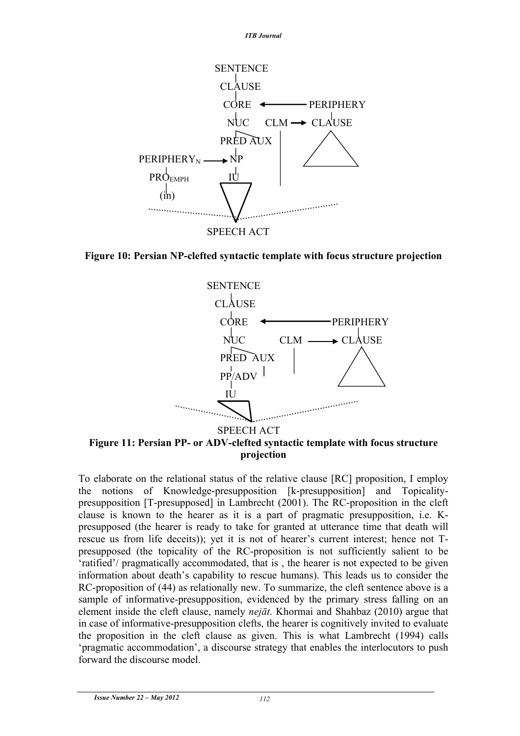

**Figure 10: Persian NP-clefted syntactic template with focus structure projection**



To elaborate on the relational status of the relative clause [RC] proposition, I employ the notions of Knowledge-presupposition [k-presupposition] and Topicalitypresupposition [T-presupposed] in Lambrecht (2001). The RC-proposition in the cleft clause is known to the hearer as it is a part of pragmatic presupposition, i.e. Kpresupposed (the hearer is ready to take for granted at utterance time that death will rescue us from life deceits)); yet it is not of hearer's current interest; hence not Tpresupposed (the topicality of the RC-proposition is not sufficiently salient to be 'ratified'/ pragmatically accommodated, that is , the hearer is not expected to be given information about death's capability to rescue humans). This leads us to consider the RC-proposition of (44) as relationally new. To summarize, the cleft sentence above is a sample of informative-presupposition, evidenced by the primary stress falling on an element inside the cleft clause, namely *nejāt*. Khormai and Shahbaz (2010) argue that in case of informative-presupposition clefts, the hearer is cognitively invited to evaluate the proposition in the cleft clause as given. This is what Lambrecht (1994) calls 'pragmatic accommodation', a discourse strategy that enables the interlocutors to push forward the discourse model.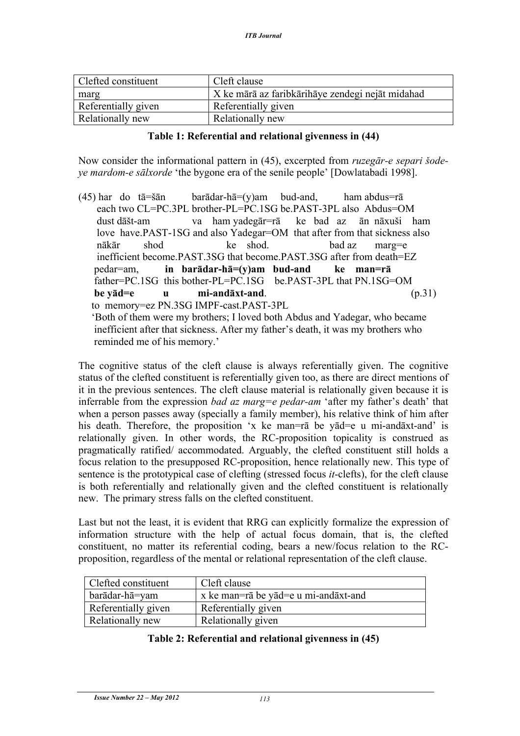| Clefted constituent | Cleft clause                                     |
|---------------------|--------------------------------------------------|
| marg                | X ke mārā az faribkārihāye zendegi nejāt midahad |
| Referentially given | Referentially given                              |
| Relationally new    | Relationally new                                 |

## **Table 1: Referential and relational givenness in (44)**

Now consider the informational pattern in (45), excerpted from *ruzegār-e separi šodeye mardom-e sālxorde* 'the bygone era of the senile people' [Dowlatabadi 1998].

(45) har do tā=šān barādar-hā=(y)am bud-and, ham abdus=rā each two CL=PC.3PL brother-PL=PC.1SG be.PAST-3PL also Abdus=OM dust dāšt-am va ham yadegār=rā ke bad az ān nāxuši ham love have.PAST-1SG and also Yadegar=OM that after from that sickness also nākār shod ke shod. bad az marg=e inefficient become. PAST. 3SG that become. PAST. 3SG after from death=EZ. pedar=am, **in barādar-hā=(y)am bud-and ke man=rā** father=PC.1SG this bother-PL=PC.1SG be.PAST-3PL that PN.1SG=OM **be yād=e u mi-andāxt-and**. (p.31) to memory=ez PN.3SG IMPF-cast.PAST-3PL 'Both of them were my brothers; I loved both Abdus and Yadegar, who became inefficient after that sickness. After my father's death, it was my brothers who reminded me of his memory.'

The cognitive status of the cleft clause is always referentially given. The cognitive status of the clefted constituent is referentially given too, as there are direct mentions of it in the previous sentences. The cleft clause material is relationally given because it is inferrable from the expression *bad az marg=e pedar-am* 'after my father's death' that when a person passes away (specially a family member), his relative think of him after his death. Therefore, the proposition 'x ke man=rā be yād=e u mi-andāxt-and' is relationally given. In other words, the RC-proposition topicality is construed as pragmatically ratified/ accommodated. Arguably, the clefted constituent still holds a focus relation to the presupposed RC-proposition, hence relationally new. This type of sentence is the prototypical case of clefting (stressed focus *it*-clefts), for the cleft clause is both referentially and relationally given and the clefted constituent is relationally new. The primary stress falls on the clefted constituent.

Last but not the least, it is evident that RRG can explicitly formalize the expression of information structure with the help of actual focus domain, that is, the clefted constituent, no matter its referential coding, bears a new/focus relation to the RCproposition, regardless of the mental or relational representation of the cleft clause.

| <b>Clefted constituent</b> | Cleft clause                         |
|----------------------------|--------------------------------------|
| barādar-hā=yam             | x ke man=rā be yād=e u mi-andāxt-and |
| Referentially given        | Referentially given                  |
| Relationally new           | Relationally given                   |

## **Table 2: Referential and relational givenness in (45)**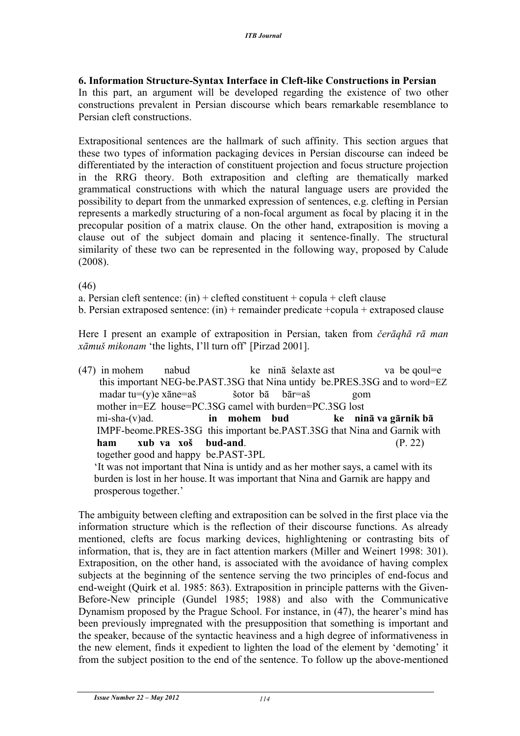## **6. Information Structure-Syntax Interface in Cleft-like Constructions in Persian**

In this part, an argument will be developed regarding the existence of two other constructions prevalent in Persian discourse which bears remarkable resemblance to Persian cleft constructions.

Extrapositional sentences are the hallmark of such affinity. This section argues that these two types of information packaging devices in Persian discourse can indeed be differentiated by the interaction of constituent projection and focus structure projection in the RRG theory. Both extraposition and clefting are thematically marked grammatical constructions with which the natural language users are provided the possibility to depart from the unmarked expression of sentences, e.g. clefting in Persian represents a markedly structuring of a non-focal argument as focal by placing it in the precopular position of a matrix clause. On the other hand, extraposition is moving a clause out of the subject domain and placing it sentence-finally. The structural similarity of these two can be represented in the following way, proposed by Calude (2008).

(46)

a. Persian cleft sentence:  $(in) + c$  clefted constituent + copula + cleft clause

b. Persian extraposed sentence: (in) + remainder predicate +copula + extraposed clause

Here I present an example of extraposition in Persian, taken from *čerāqhā rā man xāmuš mikonam* 'the lights, I'll turn off' [Pirzad 2001].

 $(47)$  in mohem nabud ke ninā šelaxte ast va be qoul=e this important NEG-be.PAST.3SG that Nina untidy be.PRES.3SG and to word=EZ madar tu=(y)e xāne=aš šotor bā bār=aš gom mother in=EZ house=PC.3SG camel with burden=PC.3SG lost mi-sha-(v)ad. **in mohem bud ke ninā va gārnik bā** IMPF-beome.PRES-3SG this important be.PAST.3SG that Nina and Garnik with **ham xub va xoš bud-and**. (P. 22) together good and happy be.PAST-3PL 'It was not important that Nina is untidy and as her mother says, a camel with its burden is lost in her house. It was important that Nina and Garnik are happy and prosperous together.'

The ambiguity between clefting and extraposition can be solved in the first place via the information structure which is the reflection of their discourse functions. As already mentioned, clefts are focus marking devices, highlightening or contrasting bits of information, that is, they are in fact attention markers (Miller and Weinert 1998: 301). Extraposition, on the other hand, is associated with the avoidance of having complex subjects at the beginning of the sentence serving the two principles of end-focus and end-weight (Quirk et al. 1985: 863). Extraposition in principle patterns with the Given-Before-New principle (Gundel 1985; 1988) and also with the Communicative Dynamism proposed by the Prague School. For instance, in (47), the hearer's mind has been previously impregnated with the presupposition that something is important and the speaker, because of the syntactic heaviness and a high degree of informativeness in the new element, finds it expedient to lighten the load of the element by 'demoting' it from the subject position to the end of the sentence. To follow up the above-mentioned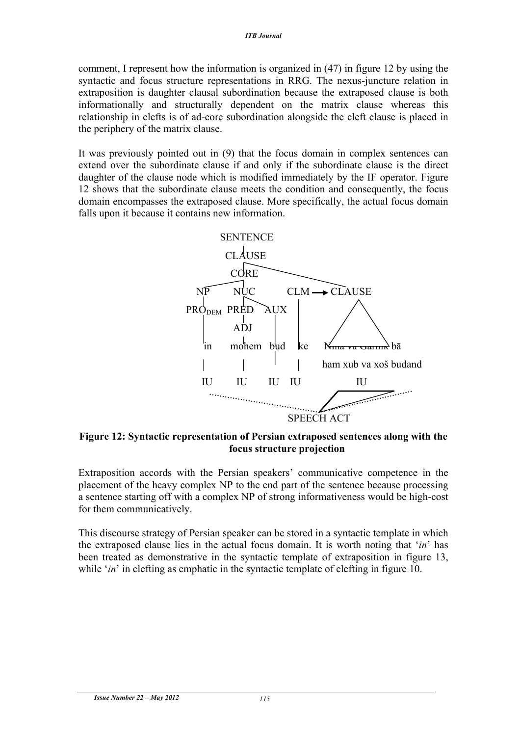comment, I represent how the information is organized in (47) in figure 12 by using the syntactic and focus structure representations in RRG. The nexus-juncture relation in extraposition is daughter clausal subordination because the extraposed clause is both informationally and structurally dependent on the matrix clause whereas this relationship in clefts is of ad-core subordination alongside the cleft clause is placed in the periphery of the matrix clause.

It was previously pointed out in (9) that the focus domain in complex sentences can extend over the subordinate clause if and only if the subordinate clause is the direct daughter of the clause node which is modified immediately by the IF operator. Figure 12 shows that the subordinate clause meets the condition and consequently, the focus domain encompasses the extraposed clause. More specifically, the actual focus domain falls upon it because it contains new information.



**Figure 12: Syntactic representation of Persian extraposed sentences along with the focus structure projection**

Extraposition accords with the Persian speakers' communicative competence in the placement of the heavy complex NP to the end part of the sentence because processing a sentence starting off with a complex NP of strong informativeness would be high-cost for them communicatively.

This discourse strategy of Persian speaker can be stored in a syntactic template in which the extraposed clause lies in the actual focus domain. It is worth noting that '*in*' has been treated as demonstrative in the syntactic template of extraposition in figure 13, while '*in*' in clefting as emphatic in the syntactic template of clefting in figure 10.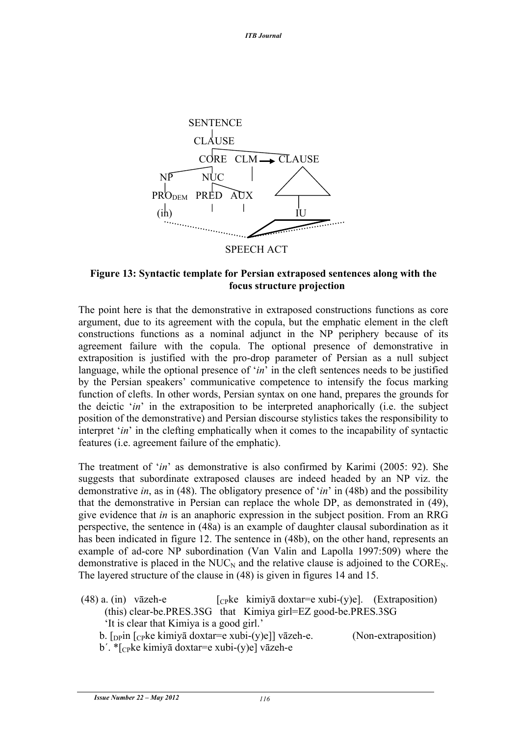

**Figure 13: Syntactic template for Persian extraposed sentences along with the focus structure projection**

The point here is that the demonstrative in extraposed constructions functions as core argument, due to its agreement with the copula, but the emphatic element in the cleft constructions functions as a nominal adjunct in the NP periphery because of its agreement failure with the copula. The optional presence of demonstrative in extraposition is justified with the pro-drop parameter of Persian as a null subject language, while the optional presence of '*in*' in the cleft sentences needs to be justified by the Persian speakers' communicative competence to intensify the focus marking function of clefts. In other words, Persian syntax on one hand, prepares the grounds for the deictic '*in*' in the extraposition to be interpreted anaphorically (i.e. the subject position of the demonstrative) and Persian discourse stylistics takes the responsibility to interpret '*in*' in the clefting emphatically when it comes to the incapability of syntactic features (i.e. agreement failure of the emphatic).

The treatment of '*in*' as demonstrative is also confirmed by Karimi (2005: 92). She suggests that subordinate extraposed clauses are indeed headed by an NP viz. the demonstrative *in*, as in (48). The obligatory presence of '*in*' in (48b) and the possibility that the demonstrative in Persian can replace the whole DP, as demonstrated in (49), give evidence that *in* is an anaphoric expression in the subject position. From an RRG perspective, the sentence in (48a) is an example of daughter clausal subordination as it has been indicated in figure 12. The sentence in (48b), on the other hand, represents an example of ad-core NP subordination (Van Valin and Lapolla 1997:509) where the demonstrative is placed in the  $NUC<sub>N</sub>$  and the relative clause is adjoined to the  $CORE<sub>N</sub>$ . The layered structure of the clause in (48) is given in figures 14 and 15.

- (48) a. (in) vāzeh-e  $[\text{c}_P\text{ke } \text{kim} \text{ig} \text{d} \text{o} \text{xt} \text{a} = \text{e} \text{xubi-(y)e}]$ . (Extraposition) (this) clear-be.PRES.3SG that Kimiya girl=EZ good-be.PRES.3SG 'It is clear that Kimiya is a good girl.'
	- b.  $\lceil \text{ppin} \rceil$   $\lceil \text{cpke} \rceil$  kimiyā doxtar=e xubi-(y)e]] vāzeh-e. (Non-extraposition)
	- b΄. \*[CPke kimiyā doxtar=e xubi-(y)e] vāzeh-e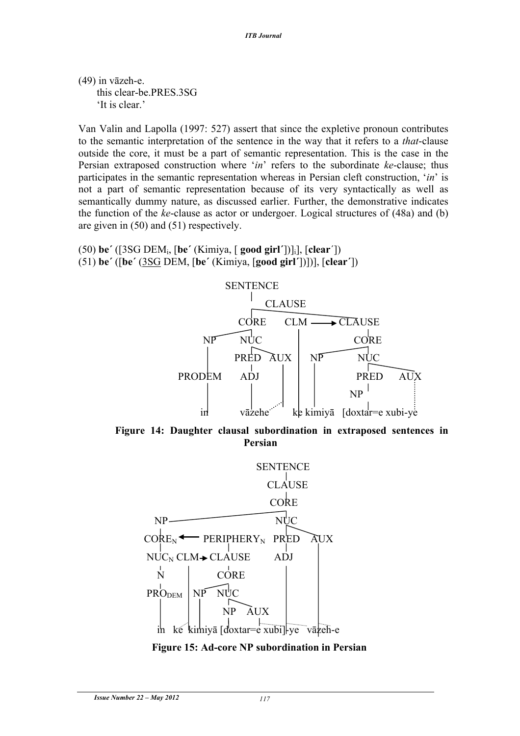(49) in vāzeh-e. this clear-be.PRES.3SG 'It is clear.'

Van Valin and Lapolla (1997: 527) assert that since the expletive pronoun contributes to the semantic interpretation of the sentence in the way that it refers to a *that*-clause outside the core, it must be a part of semantic representation. This is the case in the Persian extraposed construction where '*in*' refers to the subordinate *ke*-clause; thus participates in the semantic representation whereas in Persian cleft construction, '*in*' is not a part of semantic representation because of its very syntactically as well as semantically dummy nature, as discussed earlier. Further, the demonstrative indicates the function of the *ke*-clause as actor or undergoer. Logical structures of (48a) and (b) are given in (50) and (51) respectively.

```
(50) be΄ ([3SG DEMi, [be΄ (Kimiya, [ good girl΄])]i], [clear΄])
(51) be΄ ([be΄ (3SG DEM, [be΄ (Kimiya, [good girl΄])])], [clear΄])
```


 $PRO<sub>DEM</sub>$  NP NUC

NP AUX

in ke kimiyā [doxtar=e xubi]-ye vāzeh-e

**Figure 15: Ad-core NP subordination in Persian**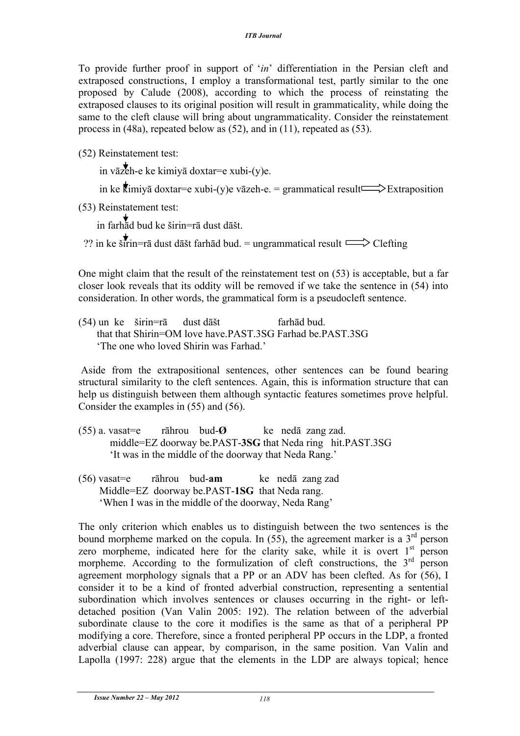To provide further proof in support of '*in*' differentiation in the Persian cleft and extraposed constructions, I employ a transformational test, partly similar to the one proposed by Calude (2008), according to which the process of reinstating the extraposed clauses to its original position will result in grammaticality, while doing the same to the cleft clause will bring about ungrammaticality. Consider the reinstatement process in (48a), repeated below as (52), and in (11), repeated as (53).

(52) Reinstatement test:

in vāzeh-e ke kimiyā doxtar=e xubi-(y)e.

in ke  $\overline{k}$ imiyā doxtar=e xubi-(y)e vāzeh-e. = grammatical result  $\Rightarrow$  Extraposition

(53) Reinstatement test:

in farhād bud ke širin=rā dust dāšt.

?? in ke širin=rā dust dāšt farhād bud. = ungrammatical result  $\implies$  Clefting

One might claim that the result of the reinstatement test on (53) is acceptable, but a far closer look reveals that its oddity will be removed if we take the sentence in (54) into consideration. In other words, the grammatical form is a pseudocleft sentence.

(54) un ke širin=rā dust dāšt farhād bud. that that Shirin=OM love have.PAST.3SG Farhad be.PAST.3SG 'The one who loved Shirin was Farhad.'

Aside from the extrapositional sentences, other sentences can be found bearing structural similarity to the cleft sentences. Again, this is information structure that can help us distinguish between them although syntactic features sometimes prove helpful. Consider the examples in (55) and (56).

- (55) a. vasat=e rāhrou bud-**Ø** ke nedā zang zad. middle=EZ doorway be.PAST-**3SG** that Neda ring hit.PAST.3SG 'It was in the middle of the doorway that Neda Rang.'
- (56) vasat=e rāhrou bud-**am** ke nedā zang zad Middle=EZ doorway be.PAST-**1SG** that Neda rang. 'When I was in the middle of the doorway, Neda Rang'

The only criterion which enables us to distinguish between the two sentences is the bound morpheme marked on the copula. In  $(55)$ , the agreement marker is a  $3<sup>rd</sup>$  person zero morpheme, indicated here for the clarity sake, while it is overt  $1<sup>st</sup>$  person morpheme. According to the formulization of cleft constructions, the  $3<sup>rd</sup>$  person agreement morphology signals that a PP or an ADV has been clefted. As for (56), I consider it to be a kind of fronted adverbial construction, representing a sentential subordination which involves sentences or clauses occurring in the right- or leftdetached position (Van Valin 2005: 192). The relation between of the adverbial subordinate clause to the core it modifies is the same as that of a peripheral PP modifying a core. Therefore, since a fronted peripheral PP occurs in the LDP, a fronted adverbial clause can appear, by comparison, in the same position. Van Valin and Lapolla (1997: 228) argue that the elements in the LDP are always topical; hence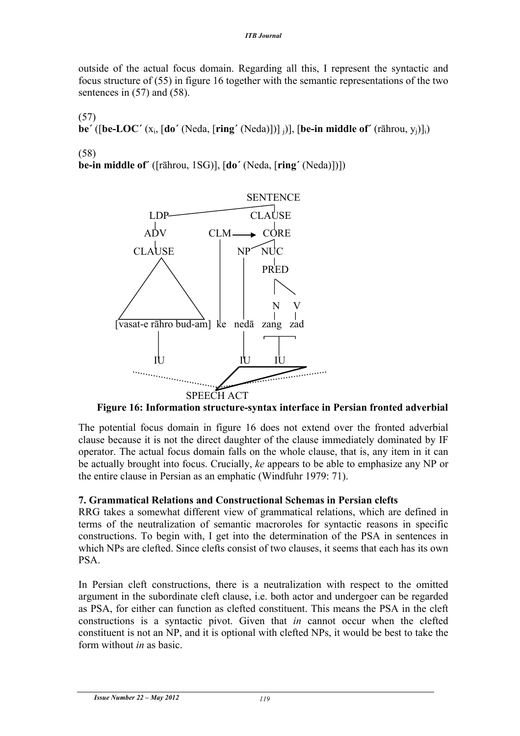outside of the actual focus domain. Regarding all this, I represent the syntactic and focus structure of (55) in figure 16 together with the semantic representations of the two sentences in  $(57)$  and  $(58)$ .

(57)

**be΄** ([**be-LOC΄** (xi, [**do΄** (Neda, [**ring΄** (Neda)])] j)], [**be-in middle of΄** (rāhrou, yj)]i)

(58)

**be-in middle of΄** ([rāhrou, 1SG)], [**do΄** (Neda, [**ring΄** (Neda)])])



 **Figure 16: Information structure-syntax interface in Persian fronted adverbial**

The potential focus domain in figure 16 does not extend over the fronted adverbial clause because it is not the direct daughter of the clause immediately dominated by IF operator. The actual focus domain falls on the whole clause, that is, any item in it can be actually brought into focus. Crucially, *ke* appears to be able to emphasize any NP or the entire clause in Persian as an emphatic (Windfuhr 1979: 71).

# **7. Grammatical Relations and Constructional Schemas in Persian clefts**

RRG takes a somewhat different view of grammatical relations, which are defined in terms of the neutralization of semantic macroroles for syntactic reasons in specific constructions. To begin with, I get into the determination of the PSA in sentences in which NPs are clefted. Since clefts consist of two clauses, it seems that each has its own PSA.

In Persian cleft constructions, there is a neutralization with respect to the omitted argument in the subordinate cleft clause, i.e. both actor and undergoer can be regarded as PSA, for either can function as clefted constituent. This means the PSA in the cleft constructions is a syntactic pivot. Given that *in* cannot occur when the clefted constituent is not an NP, and it is optional with clefted NPs, it would be best to take the form without *in* as basic.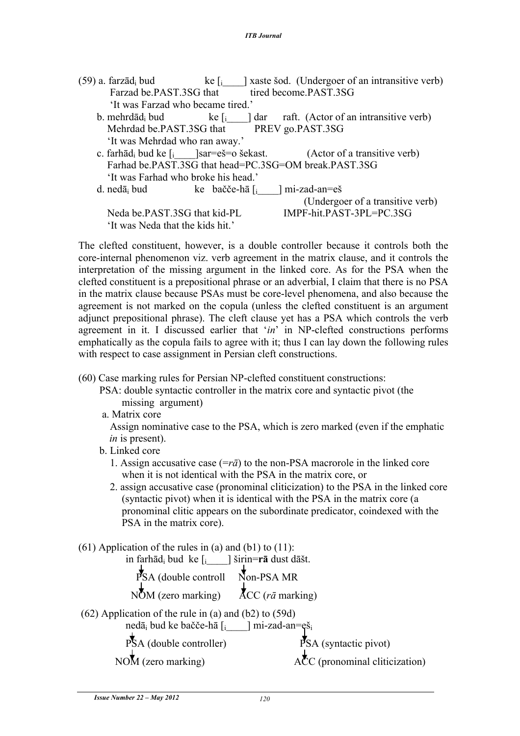| (59) a. farzād <sub>i</sub> bud                                     |                                           | ke $\left[ \cdot \right]$ aste sod. (Undergoer of an intransitive verb)             |
|---------------------------------------------------------------------|-------------------------------------------|-------------------------------------------------------------------------------------|
| Farzad be.PAST.3SG that                                             |                                           | tired become.PAST.3SG                                                               |
| 'It was Farzad who became tired.'                                   |                                           |                                                                                     |
| b. mehrdād <sub>i</sub> bud                                         |                                           | ke $\begin{bmatrix} 1 \\ 1 \end{bmatrix}$ dar raft. (Actor of an intransitive verb) |
|                                                                     | Mehrdad be.PAST.3SG that PREV go.PAST.3SG |                                                                                     |
| 'It was Mehrdad who ran away.'                                      |                                           |                                                                                     |
| c. farhād <sub>i</sub> bud ke $\int$ <sub>i</sub> [sar=eš=o šekast. |                                           | (Actor of a transitive verb)                                                        |
|                                                                     |                                           | Farhad be.PAST.3SG that head=PC.3SG=OM break.PAST.3SG                               |
| 'It was Farhad who broke his head.'                                 |                                           |                                                                                     |
| d. nedā <sub>i</sub> bud ke bačče-hā $\int$ <sub>i</sub>            |                                           | mi-zad-an=eš                                                                        |
|                                                                     |                                           | (Undergoer of a transitive verb)                                                    |
| Neda be.PAST.3SG that kid-PL                                        |                                           | IMPF-hit.PAST-3PL=PC.3SG                                                            |
| 'It was Neda that the kids hit.'                                    |                                           |                                                                                     |

The clefted constituent, however, is a double controller because it controls both the core-internal phenomenon viz. verb agreement in the matrix clause, and it controls the interpretation of the missing argument in the linked core. As for the PSA when the clefted constituent is a prepositional phrase or an adverbial, I claim that there is no PSA in the matrix clause because PSAs must be core-level phenomena, and also because the agreement is not marked on the copula (unless the clefted constituent is an argument adjunct prepositional phrase). The cleft clause yet has a PSA which controls the verb agreement in it. I discussed earlier that '*in*' in NP-clefted constructions performs emphatically as the copula fails to agree with it; thus I can lay down the following rules with respect to case assignment in Persian cleft constructions.

- (60) Case marking rules for Persian NP-clefted constituent constructions:
	- PSA: double syntactic controller in the matrix core and syntactic pivot (the missing argument)
	- a. Matrix core

 Assign nominative case to the PSA, which is zero marked (even if the emphatic *in* is present).

b. Linked core

 1. Assign accusative case (=*rā*) to the non-PSA macrorole in the linked core when it is not identical with the PSA in the matrix core, or

- 2. assign accusative case (pronominal cliticization) to the PSA in the linked core (syntactic pivot) when it is identical with the PSA in the matrix core (a pronominal clitic appears on the subordinate predicator, coindexed with the PSA in the matrix core).
- $(61)$  Application of the rules in (a) and (b1) to  $(11)$ :

in farhādi bud ke [i\_\_\_\_] širin=**rā** dust dāšt.

| PSA (double controll Non-PSA MR) |                         |
|----------------------------------|-------------------------|
| $NOM$ (zero marking)             | $ACC(r\bar{a}$ marking) |

(62) Application of the rule in (a) and (b2) to (59d)

nedā<sub>i</sub> bud ke bačče-hā  $\left[ \begin{array}{cc} | & | \text{mi-zad-an} = \tilde{e} \end{array} \right]$ 

 $PSA$  (double controller)  $PSA$  (syntactic pivot)

NOM (zero marking)  $A\overset{\bullet}{\sim}C$  (pronominal cliticization)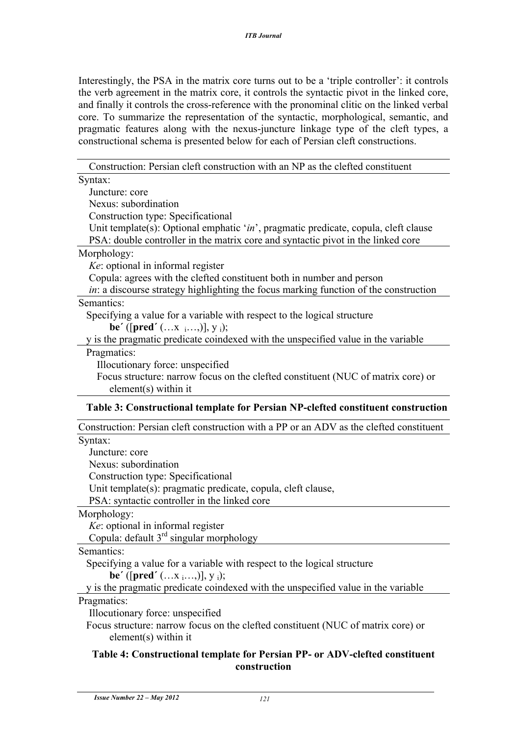Interestingly, the PSA in the matrix core turns out to be a 'triple controller': it controls the verb agreement in the matrix core, it controls the syntactic pivot in the linked core, and finally it controls the cross-reference with the pronominal clitic on the linked verbal core. To summarize the representation of the syntactic, morphological, semantic, and pragmatic features along with the nexus-juncture linkage type of the cleft types, a constructional schema is presented below for each of Persian cleft constructions.

Construction: Persian cleft construction with an NP as the clefted constituent

## **Table 4: Constructional template for Persian PP- or ADV-clefted constituent construction**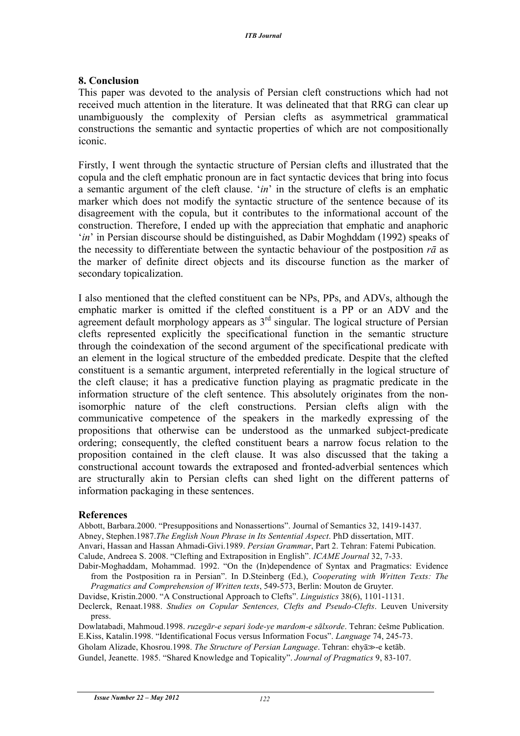#### **8. Conclusion**

This paper was devoted to the analysis of Persian cleft constructions which had not received much attention in the literature. It was delineated that that RRG can clear up unambiguously the complexity of Persian clefts as asymmetrical grammatical constructions the semantic and syntactic properties of which are not compositionally iconic.

Firstly, I went through the syntactic structure of Persian clefts and illustrated that the copula and the cleft emphatic pronoun are in fact syntactic devices that bring into focus a semantic argument of the cleft clause. '*in*' in the structure of clefts is an emphatic marker which does not modify the syntactic structure of the sentence because of its disagreement with the copula, but it contributes to the informational account of the construction. Therefore, I ended up with the appreciation that emphatic and anaphoric '*in*' in Persian discourse should be distinguished, as Dabir Moghddam (1992) speaks of the necessity to differentiate between the syntactic behaviour of the postposition *rā* as the marker of definite direct objects and its discourse function as the marker of secondary topicalization.

I also mentioned that the clefted constituent can be NPs, PPs, and ADVs, although the emphatic marker is omitted if the clefted constituent is a PP or an ADV and the agreement default morphology appears as  $3<sup>rd</sup>$  singular. The logical structure of Persian clefts represented explicitly the specificational function in the semantic structure through the coindexation of the second argument of the specificational predicate with an element in the logical structure of the embedded predicate. Despite that the clefted constituent is a semantic argument, interpreted referentially in the logical structure of the cleft clause; it has a predicative function playing as pragmatic predicate in the information structure of the cleft sentence. This absolutely originates from the nonisomorphic nature of the cleft constructions. Persian clefts align with the communicative competence of the speakers in the markedly expressing of the propositions that otherwise can be understood as the unmarked subject-predicate ordering; consequently, the clefted constituent bears a narrow focus relation to the proposition contained in the cleft clause. It was also discussed that the taking a constructional account towards the extraposed and fronted-adverbial sentences which are structurally akin to Persian clefts can shed light on the different patterns of information packaging in these sentences.

#### **References**

Abbott, Barbara.2000. "Presuppositions and Nonassertions". Journal of Semantics 32, 1419-1437.

Abney, Stephen.1987.*The English Noun Phrase in Its Sentential Aspect*. PhD dissertation, MIT.

Anvari, Hassan and Hassan Ahmadi-Givi.1989. *Persian Grammar*, Part 2. Tehran: Fatemi Pubication. Calude, Andreea S. 2008. "Clefting and Extraposition in English". *ICAME Journal* 32, 7-33.

Dabir-Moghaddam, Mohammad. 1992. "On the (In)dependence of Syntax and Pragmatics: Evidence from the Postposition ra in Persian". In D.Steinberg (Ed.), *Cooperating with Written Texts: The Pragmatics and Comprehension of Written texts*, 549-573, Berlin: Mouton de Gruyter.

Davidse, Kristin.2000. "A Constructional Approach to Clefts". *Linguistics* 38(6), 1101-1131.

Declerck, Renaat.1988. *Studies on Copular Sentences, Clefts and Pseudo-Clefts*. Leuven University press.

Dowlatabadi, Mahmoud.1998. *ruzegār-e separi šode-ye mardom-e sālxorde*. Tehran: češme Publication. E.Kiss, Katalin.1998. "Identificational Focus versus Information Focus". *Language* 74, 245-73. Gholam Alizade, Khosrou.1998. *The Structure of Persian Language*. Tehran: ehyā $\gg$ -e ketāb.

Gundel, Jeanette. 1985. "Shared Knowledge and Topicality". *Journal of Pragmatics* 9, 83-107.